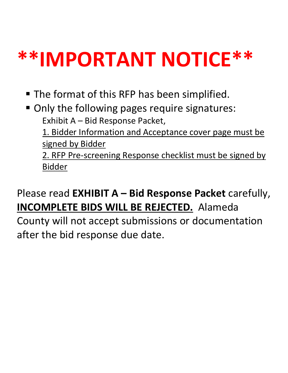# **\*\*IMPORTANT NOTICE\*\***

- **The format of this RFP has been simplified.**
- **Only the following pages require signatures:** Exhibit A – Bid Response Packet,

1. Bidder Information and Acceptance cover page must be signed by Bidder

2. RFP Pre-screening Response checklist must be signed by Bidder

## Please read **EXHIBIT A – Bid Response Packet** carefully, **INCOMPLETE BIDS WILL BE REJECTED.** Alameda

County will not accept submissions or documentation after the bid response due date.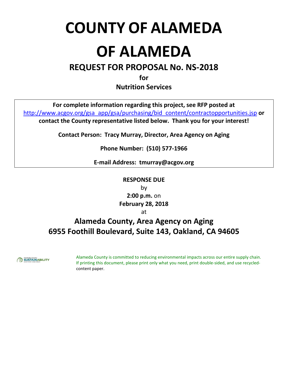## **COUNTY OF ALAMEDA**

## **OF ALAMEDA**

### **REQUEST FOR PROPOSAL No. NS-2018**

**for**

**Nutrition Services**

**For complete information regarding this project, see RFP posted at** http://www.acgov.org/gsa\_app/gsa/purchasing/bid\_content/contractopportunities.jsp **or contact the County representative listed below. Thank you for your interest!**

**Contact Person: Tracy Murray, Director, Area Agency on Aging**

**Phone Number: (510) 577-1966**

**E-mail Address: tmurray@acgov.org**

**RESPONSE DUE** by **2:00 p.m.** on **February 28, 2018**

at

### **Alameda County, Area Agency on Aging 6955 Foothill Boulevard, Suite 143, Oakland, CA 94605**



Alameda County is committed to reducing environmental impacts across our entire supply chain. If printing this document, please print only what you need, print double-sided, and use recycledcontent paper.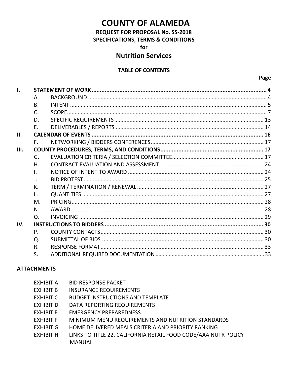### **COUNTY OF ALAMEDA**

**REQUEST FOR PROPOSAL No. SS-2018 SPECIFICATIONS, TERMS & CONDITIONS** for

### **Nutrition Services**

### **TABLE OF CONTENTS**

| 1.   |                |  |
|------|----------------|--|
|      | А.             |  |
|      | <b>B.</b>      |  |
|      | C.             |  |
|      | D.             |  |
|      | E.             |  |
| II.  |                |  |
|      |                |  |
| III. |                |  |
|      | G.             |  |
|      | Η.             |  |
|      | I.             |  |
|      | $\mathsf{J}$ . |  |
|      | К.             |  |
|      |                |  |
|      | M.             |  |
|      | N.             |  |
|      | $\Omega$ .     |  |
| IV.  |                |  |
|      | P.             |  |
|      | Q.             |  |
|      | R.             |  |
|      | S.             |  |

### **ATTACHMENTS**

| <b>EXHIBIT A</b> | <b>BID RESPONSE PACKET</b>                                     |
|------------------|----------------------------------------------------------------|
| <b>EXHIBIT B</b> | <b>INSURANCE REQUIREMENTS</b>                                  |
| <b>EXHIBIT C</b> | <b>BUDGET INSTRUCTIONS AND TEMPLATE</b>                        |
| <b>EXHIBIT D</b> | DATA REPORTING REQUIREMENTS                                    |
| EXHIBIT E        | <b>EMERGENCY PREPAREDNESS</b>                                  |
| <b>EXHIBIT F</b> | MINIMUM MENU REQUIREMENTS AND NUTRITION STANDARDS              |
| <b>EXHIBIT G</b> | HOME DELIVERED MEALS CRITERIA AND PRIORITY RANKING             |
| <b>EXHIBIT H</b> | LINKS TO TITLE 22, CALIFORNIA RETAIL FOOD CODE/AAA NUTR POLICY |
|                  | <b>MANUAL</b>                                                  |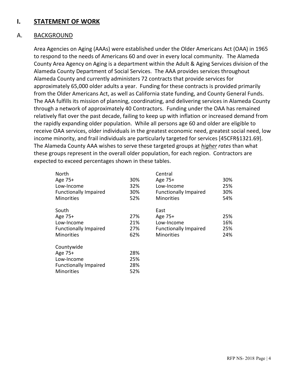### **I. STATEMENT OF WORK**

### A. BACKGROUND

Area Agencies on Aging (AAAs) were established under the Older Americans Act (OAA) in 1965 to respond to the needs of Americans 60 and over in every local community. The Alameda County Area Agency on Aging is a department within the Adult & Aging Services division of the Alameda County Department of Social Services. The AAA provides services throughout Alameda County and currently administers 72 contracts that provide services for approximately 65,000 older adults a year. Funding for these contracts is provided primarily from the Older Americans Act, as well as California state funding, and County General Funds. The AAA fulfills its mission of planning, coordinating, and delivering services in Alameda County through a network of approximately 40 Contractors. Funding under the OAA has remained relatively flat over the past decade, failing to keep up with inflation or increased demand from the rapidly expanding older population. While all persons age 60 and older are eligible to receive OAA services, older individuals in the greatest economic need, greatest social need, low income minority, and frail individuals are particularly targeted for services [45CFR§1321.69]. The Alameda County AAA wishes to serve these targeted groups at *higher rates* than what these groups represent in the overall older population, for each region. Contractors are expected to exceed percentages shown in these tables.

| North                        |     | Central                      |     |
|------------------------------|-----|------------------------------|-----|
| Age 75+                      | 30% | Age 75+                      | 30% |
| Low-Income                   | 32% | Low-Income                   | 25% |
| <b>Functionally Impaired</b> | 30% | <b>Functionally Impaired</b> | 30% |
| <b>Minorities</b>            | 52% | <b>Minorities</b>            | 54% |
| South                        |     | East                         |     |
| Age 75+                      | 27% | Age 75+                      | 25% |
| Low-Income                   | 21% | Low-Income                   | 16% |
| <b>Functionally Impaired</b> | 27% | <b>Functionally Impaired</b> | 25% |
| <b>Minorities</b>            | 62% | <b>Minorities</b>            | 24% |
| Countywide                   |     |                              |     |
| Age 75+                      | 28% |                              |     |
| Low-Income                   | 25% |                              |     |
| <b>Functionally Impaired</b> | 28% |                              |     |
| <b>Minorities</b>            | 52% |                              |     |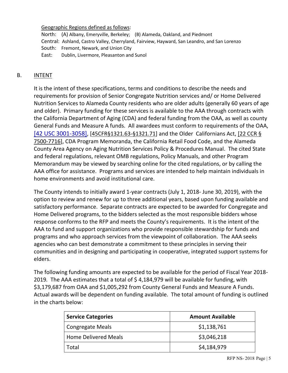#### Geographic Regions defined as follows:

North: (A) Albany, Emeryville, Berkeley; (B) Alameda, Oakland, and Piedmont Central: Ashland, Castro Valley, Cherryland, Fairview, Hayward, San Leandro, and San Lorenzo South: Fremont, Newark, and Union City East: Dublin, Livermore, Pleasanton and Sunol

### B. INTENT

It is the intent of these specifications, terms and conditions to describe the needs and requirements for provision of Senior Congregate Nutrition services and/ or Home Delivered Nutrition Services to Alameda County residents who are older adults (generally 60 years of age and older). Primary funding for these services is available to the AAA through contracts with the California Department of Aging (CDA) and federal funding from the OAA, as well as county General Funds and Measure A funds. All awardees must conform to requirements of the OAA, [42 USC 3001-3058], [45CFR§1321.63-§1321.71] and the Older Californians Act, [22 CCR § 7500-7716], CDA Program Memoranda, the California Retail Food Code, and the Alameda County Area Agency on Aging Nutrition Services Policy & Procedures Manual. The cited State and federal regulations, relevant OMB regulations, Policy Manuals, and other Program Memorandum may be viewed by searching online for the cited regulations, or by calling the AAA office for assistance. Programs and services are intended to help maintain individuals in home environments and avoid institutional care.

The County intends to initially award 1-year contracts (July 1, 2018- June 30, 2019), with the option to review and renew for up to three additional years, based upon funding available and satisfactory performance. Separate contracts are expected to be awarded for Congregate and Home Delivered programs, to the bidders selected as the most responsible bidders whose response conforms to the RFP and meets the County's requirements. It is the intent of the AAA to fund and support organizations who provide responsible stewardship for funds and programs and who approach services from the viewpoint of collaboration. The AAA seeks agencies who can best demonstrate a commitment to these principles in serving their communities and in designing and participating in cooperative, integrated support systems for elders.

The following funding amounts are expected to be available for the period of Fiscal Year 2018- 2019*.* The AAA estimates that a total of \$ 4,184,979 will be available for funding, with \$3,179,687 from OAA and \$1,005,292 from County General Funds and Measure A Funds. Actual awards will be dependent on funding available. The total amount of funding is outlined in the charts below:

| <b>Service Categories</b>   | <b>Amount Available</b> |
|-----------------------------|-------------------------|
| <b>Congregate Meals</b>     | \$1,138,761             |
| <b>Home Delivered Meals</b> | \$3,046,218             |
| Total                       | \$4,184,979             |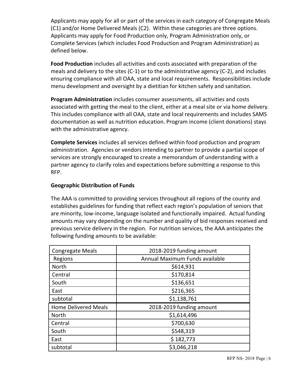Applicants may apply for all or part of the services in each category of Congregate Meals (C1) and/or Home Delivered Meals (C2). Within these categories are three options. Applicants may apply for Food Production only, Program Administration only, or Complete Services (which includes Food Production and Program Administration) as defined below.

**Food Production** includes all activities and costs associated with preparation of the meals and delivery to the sites (C-1) or to the administrative agency (C-2), and includes ensuring compliance with all OAA, state and local requirements. Responsibilities include menu development and oversight by a dietitian for kitchen safety and sanitation.

**Program Administration** includes consumer assessments, all activities and costs associated with getting the meal to the client, either at a meal site or via home delivery. This includes compliance with all OAA, state and local requirements and includes SAMS documentation as well as nutrition education. Program income (client donations) stays with the administrative agency.

**Complete Services** includes all services defined within food production and program administration. Agencies or vendors intending to partner to provide a partial scope of services are strongly encouraged to create a memorandum of understanding with a partner agency to clarify roles and expectations before submitting a response to this RFP.

### **Geographic Distribution of Funds**

The AAA is committed to providing services throughout all regions of the county and establishes guidelines for funding that reflect each region's population of seniors that are minority, low-income, language isolated and functionally impaired. Actual funding amounts may vary depending on the number and quality of bid responses received and previous service delivery in the region. For nutrition services, the AAA anticipates the following funding amounts to be available:

| <b>Congregate Meals</b>     | 2018-2019 funding amount       |
|-----------------------------|--------------------------------|
| Regions                     | Annual Maximum Funds available |
| North                       | \$614,931                      |
| Central                     | \$170,814                      |
| South                       | \$136,651                      |
| East                        | \$216,365                      |
| subtotal                    | \$1,138,761                    |
| <b>Home Delivered Meals</b> | 2018-2019 funding amount       |
| <b>North</b>                | \$1,614,496                    |
|                             |                                |
| Central                     | \$700,630                      |
| South                       | \$548,319                      |
| East                        | \$182,773                      |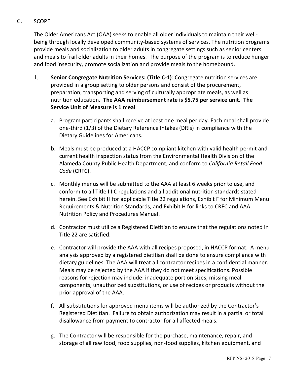### C. SCOPE

The Older Americans Act (OAA) seeks to enable all older individuals to maintain their wellbeing through locally developed community-based systems of services. The nutrition programs provide meals and socialization to older adults in congregate settings such as senior centers and meals to frail older adults in their homes. The purpose of the program is to reduce hunger and food insecurity, promote socialization and provide meals to the homebound.

- 1. **Senior Congregate Nutrition Services: (Title C-1)**: Congregate nutrition services are provided in a group setting to older persons and consist of the procurement, preparation, transporting and serving of culturally appropriate meals, as well as nutrition education. **The AAA reimbursement rate is \$5.75 per service unit. The Service Unit of Measure is 1 meal**.
	- a. Program participants shall receive at least one meal per day. Each meal shall provide one-third (1/3) of the Dietary Reference Intakes (DRIs) in compliance with the Dietary Guidelines for Americans.
	- b. Meals must be produced at a HACCP compliant kitchen with valid health permit and current health inspection status from the Environmental Health Division of the Alameda County Public Health Department, and conform to *California Retail Food Code* (CRFC).
	- c. Monthly menus will be submitted to the AAA at least 6 weeks prior to use, and conform to all Title III C regulations and all additional nutrition standards stated herein. See Exhibit H for applicable Title 22 regulations, Exhibit F for Minimum Menu Requirements & Nutrition Standards, and Exhibit H for links to CRFC and AAA Nutrition Policy and Procedures Manual.
	- d. Contractor must utilize a Registered Dietitian to ensure that the regulations noted in Title 22 are satisfied.
	- e. Contractor will provide the AAA with all recipes proposed, in HACCP format. A menu analysis approved by a registered dietitian shall be done to ensure compliance with dietary guidelines. The AAA will treat all contractor recipes in a confidential manner. Meals may be rejected by the AAA if they do not meet specifications. Possible reasons for rejection may include: inadequate portion sizes, missing meal components, unauthorized substitutions, or use of recipes or products without the prior approval of the AAA.
	- f. All substitutions for approved menu items will be authorized by the Contractor's Registered Dietitian. Failure to obtain authorization may result in a partial or total disallowance from payment to contractor for all affected meals.
	- g. The Contractor will be responsible for the purchase, maintenance, repair, and storage of all raw food, food supplies, non-food supplies, kitchen equipment, and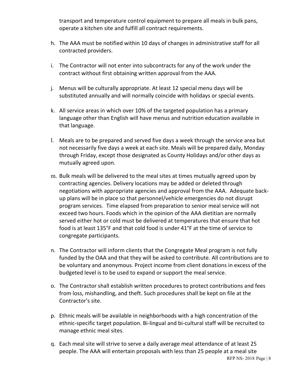transport and temperature control equipment to prepare all meals in bulk pans, operate a kitchen site and fulfill all contract requirements.

- h. The AAA must be notified within 10 days of changes in administrative staff for all contracted providers.
- i. The Contractor will not enter into subcontracts for any of the work under the contract without first obtaining written approval from the AAA.
- j. Menus will be culturally appropriate. At least 12 special menu days will be substituted annually and will normally coincide with holidays or special events.
- k. All service areas in which over 10% of the targeted population has a primary language other than English will have menus and nutrition education available in that language.
- l. Meals are to be prepared and served five days a week through the service area but not necessarily five days a week at each site. Meals will be prepared daily, Monday through Friday, except those designated as County Holidays and/or other days as mutually agreed upon.
- m. Bulk meals will be delivered to the meal sites at times mutually agreed upon by contracting agencies. Delivery locations may be added or deleted through negotiations with appropriate agencies and approval from the AAA. Adequate backup plans will be in place so that personnel/vehicle emergencies do not disrupt program services. Time elapsed from preparation to senior meal service will not exceed two hours. Foods which in the opinion of the AAA dietitian are normally served either hot or cold must be delivered at temperatures that ensure that hot food is at least 135°F and that cold food is under 41°F at the time of service to congregate participants.
- n. The Contractor will inform clients that the Congregate Meal program is not fully funded by the OAA and that they will be asked to contribute. All contributions are to be voluntary and anonymous. Project income from client donations in excess of the budgeted level is to be used to expand or support the meal service.
- o. The Contractor shall establish written procedures to protect contributions and fees from loss, mishandling, and theft. Such procedures shall be kept on file at the Contractor's site.
- p. Ethnic meals will be available in neighborhoods with a high concentration of the ethnic-specific target population. Bi-lingual and bi-cultural staff will be recruited to manage ethnic meal sites.
- RFP NS- 2018 Page | 8 q. Each meal site will strive to serve a daily average meal attendance of at least 25 people. The AAA will entertain proposals with less than 25 people at a meal site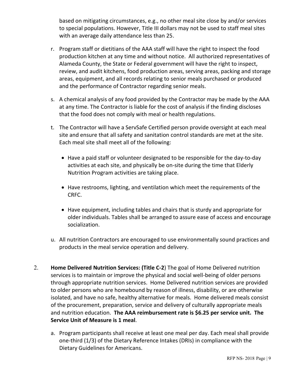based on mitigating circumstances, e.g., no other meal site close by and/or services to special populations. However, Title III dollars may not be used to staff meal sites with an average daily attendance less than 25.

- r. Program staff or dietitians of the AAA staff will have the right to inspect the food production kitchen at any time and without notice. All authorized representatives of Alameda County, the State or Federal government will have the right to inspect, review, and audit kitchens, food production areas, serving areas, packing and storage areas, equipment, and all records relating to senior meals purchased or produced and the performance of Contractor regarding senior meals.
- s. A chemical analysis of any food provided by the Contractor may be made by the AAA at any time. The Contractor is liable for the cost of analysis if the finding discloses that the food does not comply with meal or health regulations.
- t. The Contractor will have a ServSafe Certified person provide oversight at each meal site and ensure that all safety and sanitation control standards are met at the site. Each meal site shall meet all of the following:
	- Have a paid staff or volunteer designated to be responsible for the day-to-day activities at each site, and physically be on-site during the time that Elderly Nutrition Program activities are taking place.
	- Have restrooms, lighting, and ventilation which meet the requirements of the CRFC.
	- Have equipment, including tables and chairs that is sturdy and appropriate for older individuals. Tables shall be arranged to assure ease of access and encourage socialization.
- u. All nutrition Contractors are encouraged to use environmentally sound practices and products in the meal service operation and delivery.
- 2. **Home Delivered Nutrition Services: (Title C-2**) The goal of Home Delivered nutrition services is to maintain or improve the physical and social well-being of older persons through appropriate nutrition services. Home Delivered nutrition services are provided to older persons who are homebound by reason of illness, disability, or are otherwise isolated, and have no safe, healthy alternative for meals. Home delivered meals consist of the procurement, preparation, service and delivery of culturally appropriate meals and nutrition education. **The AAA reimbursement rate is \$6.25 per service unit. The Service Unit of Measure is 1 meal**.
	- a. Program participants shall receive at least one meal per day. Each meal shall provide one-third (1/3) of the Dietary Reference Intakes (DRIs) in compliance with the Dietary Guidelines for Americans.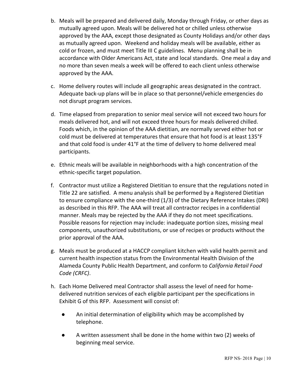- b. Meals will be prepared and delivered daily, Monday through Friday, or other days as mutually agreed upon. Meals will be delivered hot or chilled unless otherwise approved by the AAA, except those designated as County Holidays and/or other days as mutually agreed upon. Weekend and holiday meals will be available, either as cold or frozen, and must meet Title III C guidelines. Menu planning shall be in accordance with Older Americans Act, state and local standards. One meal a day and no more than seven meals a week will be offered to each client unless otherwise approved by the AAA.
- c. Home delivery routes will include all geographic areas designated in the contract. Adequate back-up plans will be in place so that personnel/vehicle emergencies do not disrupt program services.
- d. Time elapsed from preparation to senior meal service will not exceed two hours for meals delivered hot, and will not exceed three hours for meals delivered chilled. Foods which, in the opinion of the AAA dietitian, are normally served either hot or cold must be delivered at temperatures that ensure that hot food is at least 135°F and that cold food is under 41°F at the time of delivery to home delivered meal participants.
- e. Ethnic meals will be available in neighborhoods with a high concentration of the ethnic-specific target population.
- f. Contractor must utilize a Registered Dietitian to ensure that the regulations noted in Title 22 are satisfied. A menu analysis shall be performed by a Registered Dietitian to ensure compliance with the one-third (1/3) of the Dietary Reference Intakes (DRI) as described in this RFP. The AAA will treat all contractor recipes in a confidential manner. Meals may be rejected by the AAA if they do not meet specifications. Possible reasons for rejection may include: inadequate portion sizes, missing meal components, unauthorized substitutions, or use of recipes or products without the prior approval of the AAA.
- g. Meals must be produced at a HACCP compliant kitchen with valid health permit and current health inspection status from the Environmental Health Division of the Alameda County Public Health Department, and conform to *California Retail Food Code (CRFC)*.
- h. Each Home Delivered meal Contractor shall assess the level of need for homedelivered nutrition services of each eligible participant per the specifications in Exhibit G of this RFP. Assessment will consist of:
	- An initial determination of eligibility which may be accomplished by telephone.
	- A written assessment shall be done in the home within two (2) weeks of beginning meal service.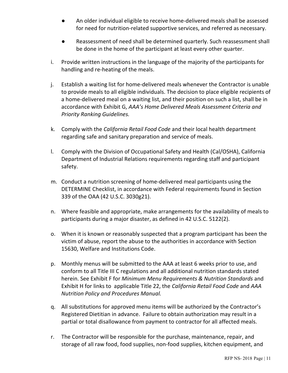- An older individual eligible to receive home-delivered meals shall be assessed for need for nutrition-related supportive services, and referred as necessary.
- Reassessment of need shall be determined quarterly. Such reassessment shall be done in the home of the participant at least every other quarter.
- i. Provide written instructions in the language of the majority of the participants for handling and re-heating of the meals.
- j. Establish a waiting list for home-delivered meals whenever the Contractor is unable to provide meals to all eligible individuals. The decision to place eligible recipients of a home-delivered meal on a waiting list, and their position on such a list, shall be in accordance with Exhibit G, *AAA's Home Delivered Meals Assessment Criteria and Priority Ranking Guidelines.*
- k. Comply with the *California Retail Food Code* and their local health department regarding safe and sanitary preparation and service of meals.
- l. Comply with the Division of Occupational Safety and Health (Cal/OSHA), California Department of Industrial Relations requirements regarding staff and participant safety.
- m. Conduct a nutrition screening of home-delivered meal participants using the DETERMINE Checklist, in accordance with Federal requirements found in Section 339 of the OAA (42 U.S.C. 3030g21).
- n. Where feasible and appropriate, make arrangements for the availability of meals to participants during a major disaster, as defined in 42 U.S.C. 5122(2).
- o. When it is known or reasonably suspected that a program participant has been the victim of abuse, report the abuse to the authorities in accordance with Section 15630, Welfare and Institutions Code.
- p. Monthly menus will be submitted to the AAA at least 6 weeks prior to use, and conform to all Title III C regulations and all additional nutrition standards stated herein. See Exhibit F for *Minimum Menu Requirements & Nutrition Standards* and Exhibit H for links to applicable Title 22, the *California Retail Food Code* and *AAA Nutrition Policy and Procedures Manual.*
- q. All substitutions for approved menu items will be authorized by the Contractor's Registered Dietitian in advance. Failure to obtain authorization may result in a partial or total disallowance from payment to contractor for all affected meals.
- r. The Contractor will be responsible for the purchase, maintenance, repair, and storage of all raw food, food supplies, non-food supplies, kitchen equipment, and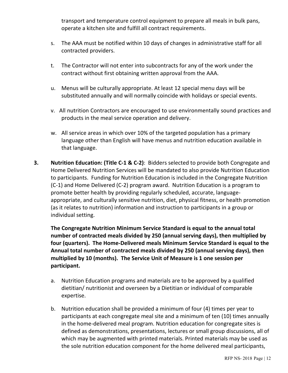transport and temperature control equipment to prepare all meals in bulk pans, operate a kitchen site and fulfill all contract requirements.

- s. The AAA must be notified within 10 days of changes in administrative staff for all contracted providers.
- t. The Contractor will not enter into subcontracts for any of the work under the contract without first obtaining written approval from the AAA.
- u. Menus will be culturally appropriate. At least 12 special menu days will be substituted annually and will normally coincide with holidays or special events.
- v. All nutrition Contractors are encouraged to use environmentally sound practices and products in the meal service operation and delivery.
- w. All service areas in which over 10% of the targeted population has a primary language other than English will have menus and nutrition education available in that language.
- **3. Nutrition Education: (Title C-1 & C-2)**: Bidders selected to provide both Congregate and Home Delivered Nutrition Services will be mandated to also provide Nutrition Education to participants. Funding for Nutrition Education is included in the Congregate Nutrition (C-1) and Home Delivered (C-2) program award. Nutrition Education is a program to promote better health by providing regularly scheduled, accurate, languageappropriate, and culturally sensitive nutrition, diet, physical fitness, or health promotion (as it relates to nutrition) information and instruction to participants in a group or individual setting.

**The Congregate Nutrition Minimum Service Standard is equal to the annual total number of contracted meals divided by 250 (annual serving days), then multiplied by four (quarters). The Home-Delivered meals Minimum Service Standard is equal to the Annual total number of contracted meals divided by 250 (annual serving days), then multiplied by 10 (months). The Service Unit of Measure is 1 one session per participant.**

- a. Nutrition Education programs and materials are to be approved by a qualified dietitian/ nutritionist and overseen by a Dietitian or individual of comparable expertise.
- b. Nutrition education shall be provided a minimum of four (4) times per year to participants at each congregate meal site and a minimum of ten (10) times annually in the home-delivered meal program. Nutrition education for congregate sites is defined as demonstrations, presentations, lectures or small group discussions, all of which may be augmented with printed materials. Printed materials may be used as the sole nutrition education component for the home delivered meal participants,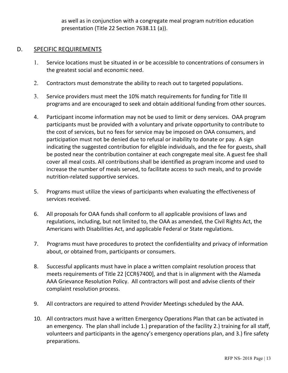as well as in conjunction with a congregate meal program nutrition education presentation (Title 22 Section 7638.11 (a)).

### D. SPECIFIC REQUIREMENTS

- 1. Service locations must be situated in or be accessible to concentrations of consumers in the greatest social and economic need.
- 2. Contractors must demonstrate the ability to reach out to targeted populations.
- 3. Service providers must meet the 10% match requirements for funding for Title III programs and are encouraged to seek and obtain additional funding from other sources.
- 4. Participant income information may not be used to limit or deny services. OAA program participants must be provided with a voluntary and private opportunity to contribute to the cost of services, but no fees for service may be imposed on OAA consumers, and participation must not be denied due to refusal or inability to donate or pay. A sign indicating the suggested contribution for eligible individuals, and the fee for guests, shall be posted near the contribution container at each congregate meal site. A guest fee shall cover all meal costs. All contributions shall be identified as program income and used to increase the number of meals served, to facilitate access to such meals, and to provide nutrition-related supportive services.
- 5. Programs must utilize the views of participants when evaluating the effectiveness of services received.
- 6. All proposals for OAA funds shall conform to all applicable provisions of laws and regulations, including, but not limited to, the OAA as amended, the Civil Rights Act, the Americans with Disabilities Act, and applicable Federal or State regulations.
- 7. Programs must have procedures to protect the confidentiality and privacy of information about, or obtained from, participants or consumers.
- 8. Successful applicants must have in place a written complaint resolution process that meets requirements of Title 22 [CCR§7400], and that is in alignment with the Alameda AAA Grievance Resolution Policy. All contractors will post and advise clients of their complaint resolution process.
- 9. All contractors are required to attend Provider Meetings scheduled by the AAA.
- 10. All contractors must have a written Emergency Operations Plan that can be activated in an emergency. The plan shall include 1.) preparation of the facility 2.) training for all staff, volunteers and participants in the agency's emergency operations plan, and 3.) fire safety preparations.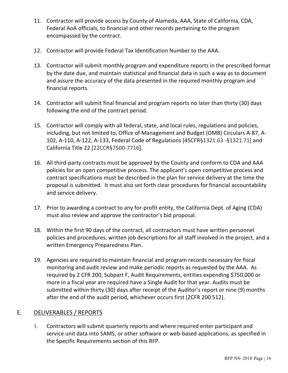- 11. Contractor will provide access by County of Alameda, AAA, State of California, CDA, Federal AoA officials, to financial and other records pertaining to the program encompassed by the contract.
- 12. Contractor will provide Federal Tax Identification Number to the AAA.
- 13. Contractor will submit monthly program and expenditure reports in the prescribed format by the date due, and maintain statistical and financial data in such a way as to document and assure the accuracy of the data presented in the required monthly program and financial reports.
- 14. Contractor will submit final financial and program reports no later than thirty (30) days following the end of the contract period.
- 15. Contractor will comply with all federal, state, and local rules, regulations and policies, including, but not limited to, Office of Management and Budget (OMB) Circulars A-87, A-102, A-110, A-122, A-133, Federal Code of Regulations [45CFR§1321.63 -§1321.71] and California Title 22 [22CCR§7500-7716].
- 16. All third-party contracts must be approved by the County and conform to CDA and AAA policies for an open competitive process. The applicant's open competitive process and contract specifications must be described in the plan for service delivery at the time the proposal is submitted. It must also set forth clear procedures for financial accountability and service delivery.
- 17. Prior to awarding a contract to any for-profit entity, the California Dept. of Aging (CDA) must also review and approve the contractor's bid proposal.
- 18. Within the first 90 days of the contract, all contractors must have written personnel policies and procedures, written job descriptions for all staff involved in the project, and a written Emergency Preparedness Plan.
- 19. Agencies are required to maintain financial and program records necessary for fiscal monitoring and audit review and make periodic reports as requested by the AAA. As required by 2 CFR 200, Subpart F, Audit Requirements, entities expending \$750,000 or more in a fiscal year are required have a Single Audit for that year. Audits must be submitted within thirty (30) days after receipt of the Auditor's report or nine (9) months after the end of the audit period, whichever occurs first (2CFR 200 512).

### E. DELIVERABLES / REPORTS

1. Contractors will submit quarterly reports and where required enter participant and service unit data into SAMS, or other software or web-based applications, as specified in the Specific Requirements section of this RFP.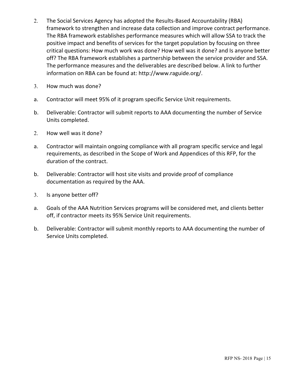- 2. The Social Services Agency has adopted the Results-Based Accountability (RBA) framework to strengthen and increase data collection and improve contract performance. The RBA framework establishes performance measures which will allow SSA to track the positive impact and benefits of services for the target population by focusing on three critical questions: How much work was done? How well was it done? and Is anyone better off? The RBA framework establishes a partnership between the service provider and SSA. The performance measures and the deliverables are described below. A link to further information on RBA can be found at: http://www.raguide.org/.
- 3. How much was done?
- a. Contractor will meet 95% of it program specific Service Unit requirements.
- b. Deliverable: Contractor will submit reports to AAA documenting the number of Service Units completed.
- 2. How well was it done?
- a. Contractor will maintain ongoing compliance with all program specific service and legal requirements, as described in the Scope of Work and Appendices of this RFP, for the duration of the contract.
- b. Deliverable: Contractor will host site visits and provide proof of compliance documentation as required by the AAA.
- 3. Is anyone better off?
- a. Goals of the AAA Nutrition Services programs will be considered met, and clients better off, if contractor meets its 95% Service Unit requirements.
- b. Deliverable: Contractor will submit monthly reports to AAA documenting the number of Service Units completed.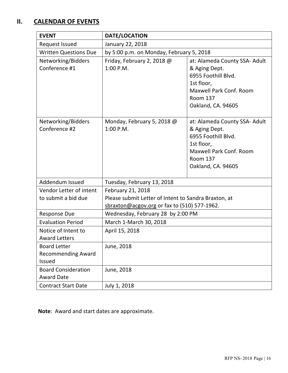### **II. CALENDAR OF EVENTS**

| <b>EVENT</b>                                               | DATE/LOCATION                                                                                                             |                                                                                                                                                                |  |
|------------------------------------------------------------|---------------------------------------------------------------------------------------------------------------------------|----------------------------------------------------------------------------------------------------------------------------------------------------------------|--|
| <b>Request Issued</b>                                      |                                                                                                                           |                                                                                                                                                                |  |
| <b>Written Questions Due</b>                               | by 5:00 p.m. on Monday, February 5, 2018                                                                                  |                                                                                                                                                                |  |
| Networking/Bidders<br>Conference #1                        | Friday, February 2, 2018 @<br>1:00 P.M.                                                                                   | at: Alameda County SSA- Adult<br>& Aging Dept.<br>6955 Foothill Blvd.<br>1st floor,<br>Maxwell Park Conf. Room<br><b>Room 137</b><br>Oakland, CA. 94605        |  |
| Networking/Bidders<br>Conference #2                        | Monday, February 5, 2018 @<br>1:00 P.M.                                                                                   | at: Alameda County SSA- Adult<br>& Aging Dept.<br>6955 Foothill Blvd.<br>1st floor,<br><b>Maxwell Park Conf. Room</b><br><b>Room 137</b><br>Oakland, CA. 94605 |  |
| Addendum Issued                                            | Tuesday, February 13, 2018                                                                                                |                                                                                                                                                                |  |
| Vendor Letter of intent<br>to submit a bid due             | February 21, 2018<br>Please submit Letter of Intent to Sandra Braxton, at<br>sbraxton@acgov.org or fax to (510) 577-1962. |                                                                                                                                                                |  |
| <b>Response Due</b>                                        | Wednesday, February 28 by 2:00 PM                                                                                         |                                                                                                                                                                |  |
| <b>Evaluation Period</b><br>March 1-March 30, 2018         |                                                                                                                           |                                                                                                                                                                |  |
| Notice of Intent to<br><b>Award Letters</b>                | April 15, 2018                                                                                                            |                                                                                                                                                                |  |
| <b>Board Letter</b><br><b>Recommending Award</b><br>Issued | June, 2018                                                                                                                |                                                                                                                                                                |  |
| <b>Board Consideration</b><br><b>Award Date</b>            | June, 2018                                                                                                                |                                                                                                                                                                |  |
| <b>Contract Start Date</b>                                 | July 1, 2018                                                                                                              |                                                                                                                                                                |  |

**Note**: Award and start dates are approximate.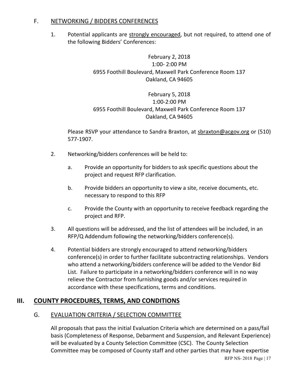### F. NETWORKING / BIDDERS CONFERENCES

1. Potential applicants are strongly encouraged, but not required, to attend one of the following Bidders' Conferences:

> February 2, 2018 1:00- 2:00 PM 6955 Foothill Boulevard, Maxwell Park Conference Room 137 Oakland, CA 94605

> February 5, 2018 1:00-2:00 PM 6955 Foothill Boulevard, Maxwell Park Conference Room 137 Oakland, CA 94605

Please RSVP your attendance to Sandra Braxton, at sbraxton@acgov.org or (510) 577-1907.

- 2. Networking/bidders conferences will be held to:
	- a. Provide an opportunity for bidders to ask specific questions about the project and request RFP clarification.
	- b. Provide bidders an opportunity to view a site, receive documents, etc. necessary to respond to this RFP
	- c. Provide the County with an opportunity to receive feedback regarding the project and RFP.
- 3. All questions will be addressed, and the list of attendees will be included, in an RFP/Q Addendum following the networking/bidders conference(s).
- 4. Potential bidders are strongly encouraged to attend networking/bidders conference(s) in order to further facilitate subcontracting relationships. Vendors who attend a networking/bidders conference will be added to the Vendor Bid List. Failure to participate in a networking/bidders conference will in no way relieve the Contractor from furnishing goods and/or services required in accordance with these specifications, terms and conditions.

### **III. COUNTY PROCEDURES, TERMS, AND CONDITIONS**

### G. EVALUATION CRITERIA / SELECTION COMMITTEE

All proposals that pass the initial Evaluation Criteria which are determined on a pass/fail basis (Completeness of Response, Debarment and Suspension, and Relevant Experience) will be evaluated by a County Selection Committee (CSC). The County Selection Committee may be composed of County staff and other parties that may have expertise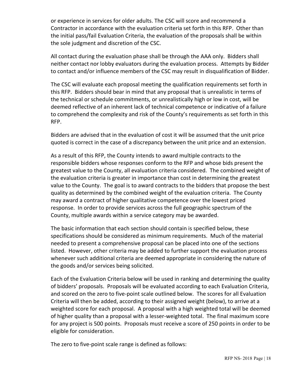or experience in services for older adults. The CSC will score and recommend a Contractor in accordance with the evaluation criteria set forth in this RFP. Other than the initial pass/fail Evaluation Criteria, the evaluation of the proposals shall be within the sole judgment and discretion of the CSC.

All contact during the evaluation phase shall be through the AAA only. Bidders shall neither contact nor lobby evaluators during the evaluation process. Attempts by Bidder to contact and/or influence members of the CSC may result in disqualification of Bidder.

The CSC will evaluate each proposal meeting the qualification requirements set forth in this RFP. Bidders should bear in mind that any proposal that is unrealistic in terms of the technical or schedule commitments, or unrealistically high or low in cost, will be deemed reflective of an inherent lack of technical competence or indicative of a failure to comprehend the complexity and risk of the County's requirements as set forth in this RFP.

Bidders are advised that in the evaluation of cost it will be assumed that the unit price quoted is correct in the case of a discrepancy between the unit price and an extension.

As a result of this RFP, the County intends to award multiple contracts to the responsible bidders whose responses conform to the RFP and whose bids present the greatest value to the County, all evaluation criteria considered. The combined weight of the evaluation criteria is greater in importance than cost in determining the greatest value to the County. The goal is to award contracts to the bidders that propose the best quality as determined by the combined weight of the evaluation criteria. The County may award a contract of higher qualitative competence over the lowest priced response. In order to provide services across the full geographic spectrum of the County, multiple awards within a service category may be awarded.

The basic information that each section should contain is specified below, these specifications should be considered as minimum requirements. Much of the material needed to present a comprehensive proposal can be placed into one of the sections listed. However, other criteria may be added to further support the evaluation process whenever such additional criteria are deemed appropriate in considering the nature of the goods and/or services being solicited.

Each of the Evaluation Criteria below will be used in ranking and determining the quality of bidders' proposals. Proposals will be evaluated according to each Evaluation Criteria, and scored on the zero to five-point scale outlined below. The scores for all Evaluation Criteria will then be added, according to their assigned weight (below), to arrive at a weighted score for each proposal. A proposal with a high weighted total will be deemed of higher quality than a proposal with a lesser-weighted total. The final maximum score for any project is 500 points. Proposals must receive a score of 250 points in order to be eligible for consideration.

The zero to five-point scale range is defined as follows: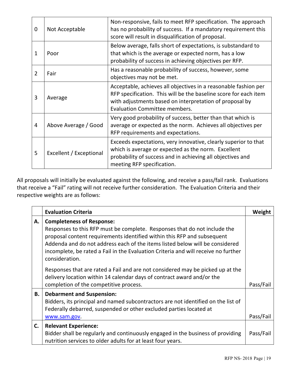| 0 | Not Acceptable          | Non-responsive, fails to meet RFP specification. The approach<br>has no probability of success. If a mandatory requirement this<br>score will result in disqualification of proposal.                                                  |
|---|-------------------------|----------------------------------------------------------------------------------------------------------------------------------------------------------------------------------------------------------------------------------------|
| 1 | Poor                    | Below average, falls short of expectations, is substandard to<br>that which is the average or expected norm, has a low<br>probability of success in achieving objectives per RFP.                                                      |
| 2 | Fair                    | Has a reasonable probability of success, however, some<br>objectives may not be met.                                                                                                                                                   |
| 3 | Average                 | Acceptable, achieves all objectives in a reasonable fashion per<br>RFP specification. This will be the baseline score for each item<br>with adjustments based on interpretation of proposal by<br><b>Evaluation Committee members.</b> |
| 4 | Above Average / Good    | Very good probability of success, better than that which is<br>average or expected as the norm. Achieves all objectives per<br>RFP requirements and expectations.                                                                      |
| 5 | Excellent / Exceptional | Exceeds expectations, very innovative, clearly superior to that<br>which is average or expected as the norm. Excellent<br>probability of success and in achieving all objectives and<br>meeting RFP specification.                     |

All proposals will initially be evaluated against the following, and receive a pass/fail rank. Evaluations that receive a "Fail" rating will not receive further consideration. The Evaluation Criteria and their respective weights are as follows:

|    | <b>Evaluation Criteria</b>                                                                                                                                                                                                                                                                                                                                                       | Weight    |
|----|----------------------------------------------------------------------------------------------------------------------------------------------------------------------------------------------------------------------------------------------------------------------------------------------------------------------------------------------------------------------------------|-----------|
| А. | <b>Completeness of Response:</b><br>Responses to this RFP must be complete. Responses that do not include the<br>proposal content requirements identified within this RFP and subsequent<br>Addenda and do not address each of the items listed below will be considered<br>incomplete, be rated a Fail in the Evaluation Criteria and will receive no further<br>consideration. |           |
|    | Responses that are rated a Fail and are not considered may be picked up at the<br>delivery location within 14 calendar days of contract award and/or the<br>completion of the competitive process.                                                                                                                                                                               | Pass/Fail |
| В. | <b>Debarment and Suspension:</b><br>Bidders, its principal and named subcontractors are not identified on the list of<br>Federally debarred, suspended or other excluded parties located at<br>www.sam.gov.                                                                                                                                                                      | Pass/Fail |
| C. | <b>Relevant Experience:</b><br>Bidder shall be regularly and continuously engaged in the business of providing<br>nutrition services to older adults for at least four years.                                                                                                                                                                                                    | Pass/Fail |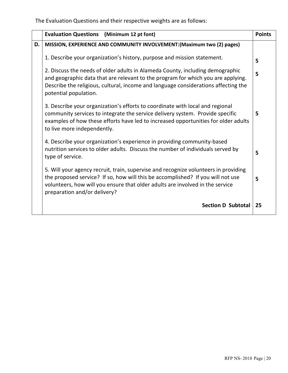The Evaluation Questions and their respective weights are as follows:

|    | <b>Evaluation Questions</b> (Minimum 12 pt font)                                                                                                                                                                                                                                        | <b>Points</b> |
|----|-----------------------------------------------------------------------------------------------------------------------------------------------------------------------------------------------------------------------------------------------------------------------------------------|---------------|
| D. | MISSION, EXPERIENCE AND COMMUNITY INVOLVEMENT: (Maximum two (2) pages)                                                                                                                                                                                                                  |               |
|    | 1. Describe your organization's history, purpose and mission statement.                                                                                                                                                                                                                 | 5             |
|    | 2. Discuss the needs of older adults in Alameda County, including demographic<br>and geographic data that are relevant to the program for which you are applying.<br>Describe the religious, cultural, income and language considerations affecting the<br>potential population.        | 5             |
|    | 3. Describe your organization's efforts to coordinate with local and regional<br>community services to integrate the service delivery system. Provide specific<br>examples of how these efforts have led to increased opportunities for older adults<br>to live more independently.     | 5             |
|    | 4. Describe your organization's experience in providing community-based<br>nutrition services to older adults. Discuss the number of individuals served by<br>type of service.                                                                                                          | 5             |
|    | 5. Will your agency recruit, train, supervise and recognize volunteers in providing<br>the proposed service? If so, how will this be accomplished? If you will not use<br>volunteers, how will you ensure that older adults are involved in the service<br>preparation and/or delivery? | 5             |
|    | <b>Section D Subtotal</b>                                                                                                                                                                                                                                                               | 25            |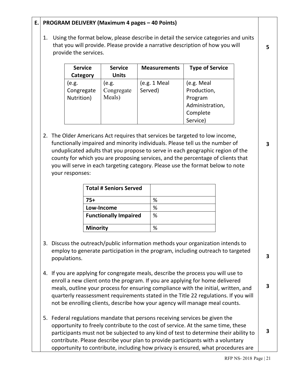### **E. PROGRAM DELIVERY (Maximum 4 pages – 40 Points)**

1. Using the format below, please describe in detail the service categories and units that you will provide. Please provide a narrative description of how you will provide the services.

| <b>Service</b> | <b>Service</b> | <b>Measurements</b> | <b>Type of Service</b> |
|----------------|----------------|---------------------|------------------------|
| Category       | <b>Units</b>   |                     |                        |
| (e.g.          | (e.g.          | (e.g. 1 Meal)       | (e.g. Meal             |
| Congregate     | Congregate     | Served)             | Production,            |
| Nutrition)     | Meals)         |                     | Program                |
|                |                |                     | Administration,        |
|                |                |                     | Complete               |
|                |                |                     | Service)               |

2. The Older Americans Act requires that services be targeted to low income, functionally impaired and minority individuals. Please tell us the number of unduplicated adults that you propose to serve in each geographic region of the county for which you are proposing services, and the percentage of clients that you will serve in each targeting category. Please use the format below to note your responses:

| <b>Total # Seniors Served</b> |   |
|-------------------------------|---|
| 75+                           | ℅ |
| Low-Income                    | ℅ |
| <b>Functionally Impaired</b>  | % |
| <b>Minority</b>               |   |

- 3. Discuss the outreach/public information methods your organization intends to employ to generate participation in the program, including outreach to targeted populations.
- 4. If you are applying for congregate meals, describe the process you will use to enroll a new client onto the program. If you are applying for home delivered meals, outline your process for ensuring compliance with the initial, written, and quarterly reassessment requirements stated in the Title 22 regulations. If you will not be enrolling clients, describe how your agency will manage meal counts.
- 5. Federal regulations mandate that persons receiving services be given the opportunity to freely contribute to the cost of service. At the same time, these participants must not be subjected to any kind of test to determine their ability to contribute. Please describe your plan to provide participants with a voluntary opportunity to contribute, including how privacy is ensured, what procedures are **3**

**5**

**3**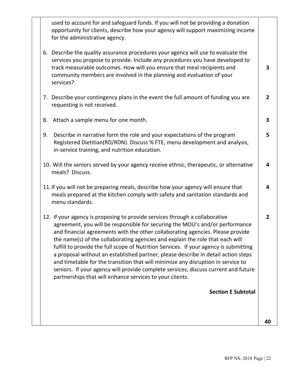|    | used to account for and safeguard funds. If you will not be providing a donation<br>opportunity for clients, describe how your agency will support maximizing income<br>for the administrative agency.                                                                                                                                                                                                                                                                                                                                                                                                                                                                                                                                             |                |
|----|----------------------------------------------------------------------------------------------------------------------------------------------------------------------------------------------------------------------------------------------------------------------------------------------------------------------------------------------------------------------------------------------------------------------------------------------------------------------------------------------------------------------------------------------------------------------------------------------------------------------------------------------------------------------------------------------------------------------------------------------------|----------------|
|    | 6. Describe the quality assurance procedures your agency will use to evaluate the<br>services you propose to provide. Include any procedures you have developed to<br>track measurable outcomes. How will you ensure that meal recipients and<br>community members are involved in the planning and evaluation of your<br>services?                                                                                                                                                                                                                                                                                                                                                                                                                | 3              |
|    | 7. Describe your contingency plans in the event the full amount of funding you are<br>requesting is not received.                                                                                                                                                                                                                                                                                                                                                                                                                                                                                                                                                                                                                                  | $\overline{2}$ |
| 8. | Attach a sample menu for one month.                                                                                                                                                                                                                                                                                                                                                                                                                                                                                                                                                                                                                                                                                                                | 3              |
| 9. | Describe in narrative form the role and your expectations of the program<br>Registered Dietitian(RD/RDN). Discuss % FTE, menu development and analysis,<br>in-service training, and nutrition education.                                                                                                                                                                                                                                                                                                                                                                                                                                                                                                                                           | 5              |
|    | 10. Will the seniors served by your agency receive ethnic, therapeutic, or alternative<br>meals? Discuss.                                                                                                                                                                                                                                                                                                                                                                                                                                                                                                                                                                                                                                          | 4              |
|    | 11. If you will not be preparing meals, describe how your agency will ensure that<br>meals prepared at the kitchen comply with safety and sanitation standards and<br>menu standards.                                                                                                                                                                                                                                                                                                                                                                                                                                                                                                                                                              | 4              |
|    | 12. If your agency is proposing to provide services through a collaborative<br>agreement, you will be responsible for securing the MOU's and/or performance<br>and financial agreements with the other collaborating agencies. Please provide<br>the name(s) of the collaborating agencies and explain the role that each will<br>fulfill to provide the full scope of Nutrition Services. If your agency is submitting<br>a proposal without an established partner, please describe in detail action steps<br>and timetable for the transition that will minimize any disruption in service to<br>seniors. If your agency will provide complete services, discuss current and future<br>partnerships that will enhance services to your clients. | $\overline{2}$ |
|    | <b>Section E Subtotal</b>                                                                                                                                                                                                                                                                                                                                                                                                                                                                                                                                                                                                                                                                                                                          |                |
|    |                                                                                                                                                                                                                                                                                                                                                                                                                                                                                                                                                                                                                                                                                                                                                    |                |
|    |                                                                                                                                                                                                                                                                                                                                                                                                                                                                                                                                                                                                                                                                                                                                                    | 40             |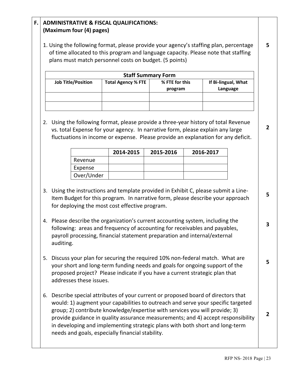### **F. ADMINISTRATIVE & FISCAL QUALIFICATIONS: (Maximum four (4) pages)**

1. Using the following format, please provide your agency's staffing plan, percentage of time allocated to this program and language capacity. Please note that staffing plans must match personnel costs on budget. (5 points)

| <b>Staff Summary Form</b> |                           |                           |                                 |  |
|---------------------------|---------------------------|---------------------------|---------------------------------|--|
| <b>Job Title/Position</b> | <b>Total Agency % FTE</b> | % FTE for this<br>program | If Bi-lingual, What<br>Language |  |
|                           |                           |                           |                                 |  |
|                           |                           |                           |                                 |  |

2. Using the following format, please provide a three-year history of total Revenue vs. total Expense for your agency. In narrative form, please explain any large fluctuations in income or expense. Please provide an explanation for any deficit.

|            | 2014-2015 | 2015-2016 | 2016-2017 |
|------------|-----------|-----------|-----------|
| Revenue    |           |           |           |
| Expense    |           |           |           |
| Over/Under |           |           |           |

- 3. Using the instructions and template provided in Exhibit C, please submit a Line-Item Budget for this program. In narrative form, please describe your approach for deploying the most cost effective program.
- 4. Please describe the organization's current accounting system, including the following: areas and frequency of accounting for receivables and payables, payroll processing, financial statement preparation and internal/external auditing.
- 5. Discuss your plan for securing the required 10% non-federal match. What are your short and long-term funding needs and goals for ongoing support of the proposed project? Please indicate if you have a current strategic plan that addresses these issues.
- 6. Describe special attributes of your current or proposed board of directors that would: 1) augment your capabilities to outreach and serve your specific targeted group; 2) contribute knowledge/expertise with services you will provide; 3) provide guidance in quality assurance measurements; and 4) accept responsibility in developing and implementing strategic plans with both short and long-term needs and goals, especially financial stability.

**5**

**2**

**5**

**3**

**5**

**2**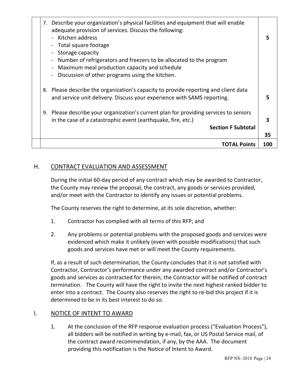|  | 7. Describe your organization's physical facilities and equipment that will enable<br>adequate provision of services. Discuss the following:<br>- Kitchen address<br>Total square footage<br>Storage capacity<br>Number of refrigerators and freezers to be allocated to the program<br>Maximum meal production capacity and schedule<br>Discussion of other programs using the kitchen. |     |
|--|------------------------------------------------------------------------------------------------------------------------------------------------------------------------------------------------------------------------------------------------------------------------------------------------------------------------------------------------------------------------------------------|-----|
|  | 8. Please describe the organization's capacity to provide reporting and client data<br>and service unit delivery. Discuss your experience with SAMS reporting.                                                                                                                                                                                                                           |     |
|  | 9. Please describe your organization's current plan for providing services to seniors<br>in the case of a catastrophic event (earthquake, fire, etc.)<br><b>Section F Subtotal</b>                                                                                                                                                                                                       | 3   |
|  |                                                                                                                                                                                                                                                                                                                                                                                          | 35  |
|  | <b>TOTAL Points</b>                                                                                                                                                                                                                                                                                                                                                                      | 100 |

### H. CONTRACT EVALUATION AND ASSESSMENT

During the initial 60-day period of any contract which may be awarded to Contractor, the County may review the proposal, the contract, any goods or services provided, and/or meet with the Contractor to identify any issues or potential problems.

The County reserves the right to determine, at its sole discretion, whether:

- 1. Contractor has complied with all terms of this RFP; and
- 2. Any problems or potential problems with the proposed goods and services were evidenced which make it unlikely (even with possible modifications) that such goods and services have met or will meet the County requirements.

If, as a result of such determination, the County concludes that it is not satisfied with Contractor, Contractor's performance under any awarded contract and/or Contractor's goods and services as contracted for therein, the Contractor will be notified of contract termination. The County will have the right to invite the next highest ranked bidder to enter into a contract. The County also reserves the right to re-bid this project if it is determined to be in its best interest to do so.

### I. NOTICE OF INTENT TO AWARD

1. At the conclusion of the RFP response evaluation process ("Evaluation Process"), all bidders will be notified in writing by e-mail, fax, or US Postal Service mail, of the contract award recommendation, if any, by the AAA. The document providing this notification is the Notice of Intent to Award.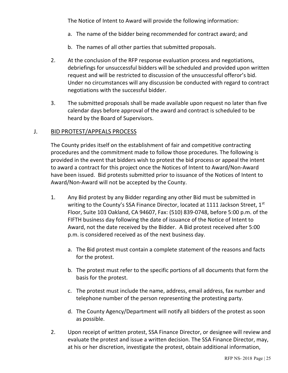The Notice of Intent to Award will provide the following information:

- a. The name of the bidder being recommended for contract award; and
- b. The names of all other parties that submitted proposals.
- 2. At the conclusion of the RFP response evaluation process and negotiations, debriefings for unsuccessful bidders will be scheduled and provided upon written request and will be restricted to discussion of the unsuccessful offeror's bid. Under no circumstances will any discussion be conducted with regard to contract negotiations with the successful bidder.
- 3. The submitted proposals shall be made available upon request no later than five calendar days before approval of the award and contract is scheduled to be heard by the Board of Supervisors.

### J. BID PROTEST/APPEALS PROCESS

The County prides itself on the establishment of fair and competitive contracting procedures and the commitment made to follow those procedures. The following is provided in the event that bidders wish to protest the bid process or appeal the intent to award a contract for this project once the Notices of Intent to Award/Non-Award have been issued. Bid protests submitted prior to issuance of the Notices of Intent to Award/Non-Award will not be accepted by the County.

- 1. Any Bid protest by any Bidder regarding any other Bid must be submitted in writing to the County's SSA Finance Director, located at 1111 Jackson Street, 1st Floor, Suite 103 Oakland, CA 94607, Fax: (510) 839-0748, before 5:00 p.m. of the FIFTH business day following the date of issuance of the Notice of Intent to Award, not the date received by the Bidder. A Bid protest received after 5:00 p.m. is considered received as of the next business day.
	- a. The Bid protest must contain a complete statement of the reasons and facts for the protest.
	- b. The protest must refer to the specific portions of all documents that form the basis for the protest.
	- c. The protest must include the name, address, email address, fax number and telephone number of the person representing the protesting party.
	- d. The County Agency/Department will notify all bidders of the protest as soon as possible.
- 2. Upon receipt of written protest, SSA Finance Director, or designee will review and evaluate the protest and issue a written decision. The SSA Finance Director, may, at his or her discretion, investigate the protest, obtain additional information,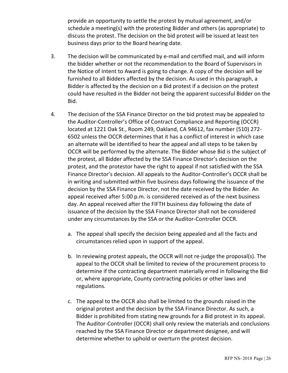provide an opportunity to settle the protest by mutual agreement, and/or schedule a meeting(s) with the protesting Bidder and others (as appropriate) to discuss the protest. The decision on the bid protest will be issued at least ten business days prior to the Board hearing date.

- 3. The decision will be communicated by e-mail and certified mail, and will inform the bidder whether or not the recommendation to the Board of Supervisors in the Notice of Intent to Award is going to change. A copy of the decision will be furnished to all Bidders affected by the decision. As used in this paragraph, a Bidder is affected by the decision on a Bid protest if a decision on the protest could have resulted in the Bidder not being the apparent successful Bidder on the Bid.
- 4. The decision of the SSA Finance Director on the bid protest may be appealed to the Auditor-Controller's Office of Contract Compliance and Reporting (OCCR) located at 1221 Oak St., Room 249, Oakland, CA 94612, fax number (510) 272- 6502 unless the OCCR determines that it has a conflict of interest in which case an alternate will be identified to hear the appeal and all steps to be taken by OCCR will be performed by the alternate. The Bidder whose Bid is the subject of the protest, all Bidder affected by the SSA Finance Director's decision on the protest, and the protestor have the right to appeal if not satisfied with the SSA Finance Director's decision. All appeals to the Auditor-Controller's OCCR shall be in writing and submitted within five business days following the issuance of the decision by the SSA Finance Director, not the date received by the Bidder. An appeal received after 5:00 p.m. is considered received as of the next business day. An appeal received after the FIFTH business day following the date of issuance of the decision by the SSA Finance Director shall not be considered under any circumstances by the SSA or the Auditor-Controller OCCR.
	- a. The appeal shall specify the decision being appealed and all the facts and circumstances relied upon in support of the appeal.
	- b. In reviewing protest appeals, the OCCR will not re-judge the proposal(s). The appeal to the OCCR shall be limited to review of the procurement process to determine if the contracting department materially erred in following the Bid or, where appropriate, County contracting policies or other laws and regulations.
	- c. The appeal to the OCCR also shall be limited to the grounds raised in the original protest and the decision by the SSA Finance Director. As such, a Bidder is prohibited from stating new grounds for a Bid protest in its appeal. The Auditor-Controller (OCCR) shall only review the materials and conclusions reached by the SSA Finance Director or department designee, and will determine whether to uphold or overturn the protest decision.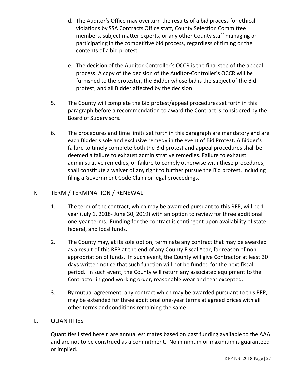- d. The Auditor's Office may overturn the results of a bid process for ethical violations by SSA Contracts Office staff, County Selection Committee members, subject matter experts, or any other County staff managing or participating in the competitive bid process, regardless of timing or the contents of a bid protest.
- e. The decision of the Auditor-Controller's OCCR is the final step of the appeal process. A copy of the decision of the Auditor-Controller's OCCR will be furnished to the protester, the Bidder whose bid is the subject of the Bid protest, and all Bidder affected by the decision.
- 5. The County will complete the Bid protest/appeal procedures set forth in this paragraph before a recommendation to award the Contract is considered by the Board of Supervisors.
- 6. The procedures and time limits set forth in this paragraph are mandatory and are each Bidder's sole and exclusive remedy in the event of Bid Protest. A Bidder's failure to timely complete both the Bid protest and appeal procedures shall be deemed a failure to exhaust administrative remedies. Failure to exhaust administrative remedies, or failure to comply otherwise with these procedures, shall constitute a waiver of any right to further pursue the Bid protest, including filing a Government Code Claim or legal proceedings.

### K. TERM / TERMINATION / RENEWAL

- 1. The term of the contract, which may be awarded pursuant to this RFP, will be 1 year (July 1, 2018- June 30, 2019) with an option to review for three additional one-year terms. Funding for the contract is contingent upon availability of state, federal, and local funds.
- 2. The County may, at its sole option, terminate any contract that may be awarded as a result of this RFP at the end of any County Fiscal Year, for reason of nonappropriation of funds. In such event, the County will give Contractor at least 30 days written notice that such function will not be funded for the next fiscal period. In such event, the County will return any associated equipment to the Contractor in good working order, reasonable wear and tear excepted.
- 3. By mutual agreement, any contract which may be awarded pursuant to this RFP, may be extended for three additional one-year terms at agreed prices with all other terms and conditions remaining the same

### L. QUANTITIES

Quantities listed herein are annual estimates based on past funding available to the AAA and are not to be construed as a commitment. No minimum or maximum is guaranteed or implied.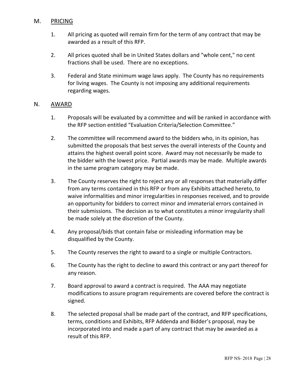### M. PRICING

- 1. All pricing as quoted will remain firm for the term of any contract that may be awarded as a result of this RFP.
- 2. All prices quoted shall be in United States dollars and "whole cent," no cent fractions shall be used. There are no exceptions.
- 3. Federal and State minimum wage laws apply. The County has no requirements for living wages. The County is not imposing any additional requirements regarding wages.

### N. AWARD

- 1. Proposals will be evaluated by a committee and will be ranked in accordance with the RFP section entitled "Evaluation Criteria/Selection Committee."
- 2. The committee will recommend award to the bidders who, in its opinion, has submitted the proposals that best serves the overall interests of the County and attains the highest overall point score. Award may not necessarily be made to the bidder with the lowest price. Partial awards may be made. Multiple awards in the same program category may be made.
- 3. The County reserves the right to reject any or all responses that materially differ from any terms contained in this RFP or from any Exhibits attached hereto, to waive informalities and minor irregularities in responses received, and to provide an opportunity for bidders to correct minor and immaterial errors contained in their submissions. The decision as to what constitutes a minor irregularity shall be made solely at the discretion of the County.
- 4. Any proposal/bids that contain false or misleading information may be disqualified by the County.
- 5. The County reserves the right to award to a single or multiple Contractors.
- 6. The County has the right to decline to award this contract or any part thereof for any reason.
- 7. Board approval to award a contract is required. The AAA may negotiate modifications to assure program requirements are covered before the contract is signed.
- 8. The selected proposal shall be made part of the contract, and RFP specifications, terms, conditions and Exhibits, RFP Addenda and Bidder's proposal, may be incorporated into and made a part of any contract that may be awarded as a result of this RFP.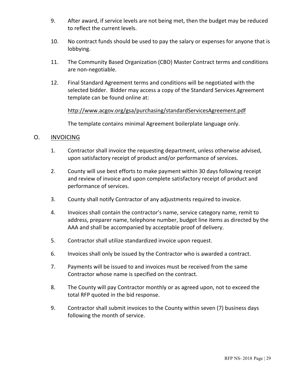- 9. After award, if service levels are not being met, then the budget may be reduced to reflect the current levels.
- 10. No contract funds should be used to pay the salary or expenses for anyone that is lobbying.
- 11. The Community Based Organization (CBO) Master Contract terms and conditions are non-negotiable.
- 12. Final Standard Agreement terms and conditions will be negotiated with the selected bidder. Bidder may access a copy of the Standard Services Agreement template can be found online at:

### http://www.acgov.org/gsa/purchasing/standardServicesAgreement.pdf

The template contains minimal Agreement boilerplate language only.

### O. INVOICING

- 1. Contractor shall invoice the requesting department, unless otherwise advised, upon satisfactory receipt of product and/or performance of services.
- 2. County will use best efforts to make payment within 30 days following receipt and review of invoice and upon complete satisfactory receipt of product and performance of services.
- 3. County shall notify Contractor of any adjustments required to invoice.
- 4. Invoices shall contain the contractor's name, service category name, remit to address, preparer name, telephone number, budget line items as directed by the AAA and shall be accompanied by acceptable proof of delivery.
- 5. Contractor shall utilize standardized invoice upon request.
- 6. Invoices shall only be issued by the Contractor who is awarded a contract.
- 7. Payments will be issued to and invoices must be received from the same Contractor whose name is specified on the contract.
- 8. The County will pay Contractor monthly or as agreed upon, not to exceed the total RFP quoted in the bid response.
- 9. Contractor shall submit invoices to the County within seven (7) business days following the month of service.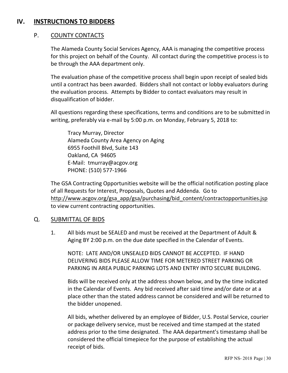### **IV. INSTRUCTIONS TO BIDDERS**

### P. COUNTY CONTACTS

The Alameda County Social Services Agency, AAA is managing the competitive process for this project on behalf of the County. All contact during the competitive process is to be through the AAA department only.

The evaluation phase of the competitive process shall begin upon receipt of sealed bids until a contract has been awarded. Bidders shall not contact or lobby evaluators during the evaluation process. Attempts by Bidder to contact evaluators may result in disqualification of bidder.

All questions regarding these specifications, terms and conditions are to be submitted in writing, preferably via e-mail by 5:00 p.m. on Monday, February 5, 2018 to:

Tracy Murray, Director Alameda County Area Agency on Aging 6955 Foothill Blvd, Suite 143 Oakland, CA 94605 E-Mail: tmurray@acgov.org PHONE: (510) 577-1966

The GSA Contracting Opportunities website will be the official notification posting place of all Requests for Interest, Proposals, Quotes and Addenda. Go to http://www.acgov.org/gsa\_app/gsa/purchasing/bid\_content/contractopportunities.jsp to view current contracting opportunities.

### Q. SUBMITTAL OF BIDS

1. All bids must be SEALED and must be received at the Department of Adult & Aging BY 2:00 p.m. on the due date specified in the Calendar of Events.

NOTE: LATE AND/OR UNSEALED BIDS CANNOT BE ACCEPTED. IF HAND DELIVERING BIDS PLEASE ALLOW TIME FOR METERED STREET PARKING OR PARKING IN AREA PUBLIC PARKING LOTS AND ENTRY INTO SECURE BUILDING.

Bids will be received only at the address shown below, and by the time indicated in the Calendar of Events. Any bid received after said time and/or date or at a place other than the stated address cannot be considered and will be returned to the bidder unopened.

All bids, whether delivered by an employee of Bidder, U.S. Postal Service, courier or package delivery service, must be received and time stamped at the stated address prior to the time designated. The AAA department's timestamp shall be considered the official timepiece for the purpose of establishing the actual receipt of bids.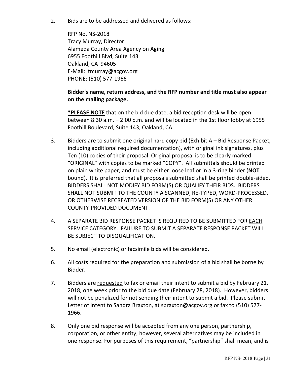2. Bids are to be addressed and delivered as follows:

RFP No. NS-2018 Tracy Murray, Director Alameda County Area Agency on Aging 6955 Foothill Blvd, Suite 143 Oakland, CA 94605 E-Mail: tmurray@acgov.org PHONE: (510) 577-1966

### **Bidder's name, return address, and the RFP number and title must also appear on the mailing package.**

**\*PLEASE NOTE** that on the bid due date, a bid reception desk will be open between 8:30 a.m. – 2:00 p.m. and will be located in the 1st floor lobby at 6955 Foothill Boulevard, Suite 143, Oakland, CA.

- 3. Bidders are to submit one original hard copy bid (Exhibit A Bid Response Packet, including additional required documentation), with original ink signatures, plus Ten (10) copies of their proposal. Original proposal is to be clearly marked "ORIGINAL" with copies to be marked "COPY". All submittals should be printed on plain white paper, and must be either loose leaf or in a 3-ring binder (**NOT** bound). It is preferred that all proposals submitted shall be printed double-sided. BIDDERS SHALL NOT MODIFY BID FORM(S) OR QUALIFY THEIR BIDS. BIDDERS SHALL NOT SUBMIT TO THE COUNTY A SCANNED, RE-TYPED, WORD-PROCESSED, OR OTHERWISE RECREATED VERSION OF THE BID FORM(S) OR ANY OTHER COUNTY-PROVIDED DOCUMENT.
- 4. A SEPARATE BID RESPONSE PACKET IS REQUIRED TO BE SUBMITTED FOR EACH SERVICE CATEGORY. FAILURE TO SUBMIT A SEPARATE RESPONSE PACKET WILL BE SUBJECT TO DISQUALIFICATION.
- 5. No email (electronic) or facsimile bids will be considered.
- 6. All costs required for the preparation and submission of a bid shall be borne by Bidder.
- 7. Bidders are requested to fax or email their intent to submit a bid by February 21, 2018, one week prior to the bid due date (February 28, 2018). However, bidders will not be penalized for not sending their intent to submit a bid. Please submit Letter of Intent to Sandra Braxton, at sbraxton@acgov.org or fax to (510) 577-1966.
- 8. Only one bid response will be accepted from any one person, partnership, corporation, or other entity; however, several alternatives may be included in one response. For purposes of this requirement, "partnership" shall mean, and is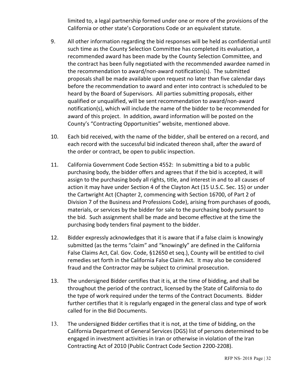limited to, a legal partnership formed under one or more of the provisions of the California or other state's Corporations Code or an equivalent statute.

- 9. All other information regarding the bid responses will be held as confidential until such time as the County Selection Committee has completed its evaluation, a recommended award has been made by the County Selection Committee, and the contract has been fully negotiated with the recommended awardee named in the recommendation to award/non-award notification(s). The submitted proposals shall be made available upon request no later than five calendar days before the recommendation to award and enter into contract is scheduled to be heard by the Board of Supervisors. All parties submitting proposals, either qualified or unqualified, will be sent recommendation to award/non-award notification(s), which will include the name of the bidder to be recommended for award of this project. In addition, award information will be posted on the County's "Contracting Opportunities" website, mentioned above.
- 10. Each bid received, with the name of the bidder, shall be entered on a record, and each record with the successful bid indicated thereon shall, after the award of the order or contract, be open to public inspection.
- 11. California Government Code Section 4552: In submitting a bid to a public purchasing body, the bidder offers and agrees that if the bid is accepted, it will assign to the purchasing body all rights, title, and interest in and to all causes of action it may have under Section 4 of the Clayton Act (15 U.S.C. Sec. 15) or under the Cartwright Act (Chapter 2, commencing with Section 16700, of Part 2 of Division 7 of the Business and Professions Code), arising from purchases of goods, materials, or services by the bidder for sale to the purchasing body pursuant to the bid. Such assignment shall be made and become effective at the time the purchasing body tenders final payment to the bidder.
- 12. Bidder expressly acknowledges that it is aware that if a false claim is knowingly submitted (as the terms "claim" and "knowingly" are defined in the California False Claims Act, Cal. Gov. Code, §12650 et seq.), County will be entitled to civil remedies set forth in the California False Claim Act. It may also be considered fraud and the Contractor may be subject to criminal prosecution.
- 13. The undersigned Bidder certifies that it is, at the time of bidding, and shall be throughout the period of the contract, licensed by the State of California to do the type of work required under the terms of the Contract Documents. Bidder further certifies that it is regularly engaged in the general class and type of work called for in the Bid Documents.
- 13. The undersigned Bidder certifies that it is not, at the time of bidding, on the California Department of General Services (DGS) list of persons determined to be engaged in investment activities in Iran or otherwise in violation of the Iran Contracting Act of 2010 (Public Contract Code Section 2200-2208).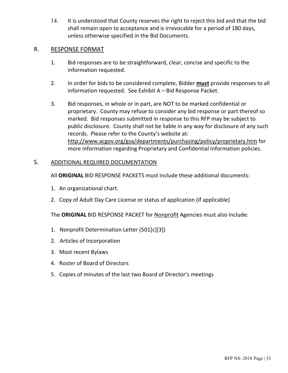14. It is understood that County reserves the right to reject this bid and that the bid shall remain open to acceptance and is irrevocable for a period of 180 days, unless otherwise specified in the Bid Documents.

### R. RESPONSE FORMAT

- 1. Bid responses are to be straightforward, clear, concise and specific to the information requested.
- 2. In order for bids to be considered complete, Bidder **must** provide responses to all information requested. See Exhibit A – Bid Response Packet.
- 3. Bid responses, in whole or in part, are NOT to be marked confidential or proprietary. County may refuse to consider any bid response or part thereof so marked. Bid responses submitted in response to this RFP may be subject to public disclosure. County shall not be liable in any way for disclosure of any such records. Please refer to the County's website at: http://www.acgov.org/gsa/departments/purchasing/policy/proprietary.htm for more information regarding Proprietary and Confidential Information policies.

### S. ADDITIONAL REQUIRED DOCUMENTATION

All **ORIGINAL** BID RESPONSE PACKETS must include these additional documents:

- 1. An organizational chart.
- 2. Copy of Adult Day Care License or status of application (if applicable)

The **ORIGINAL** BID RESPONSE PACKET for Nonprofit Agencies must also include:

- 1. Nonprofit Determination Letter (501[c][3])
- 2. Articles of Incorporation
- 3. Most recent Bylaws
- 4. Roster of Board of Directors
- 5. Copies of minutes of the last two Board of Director's meetings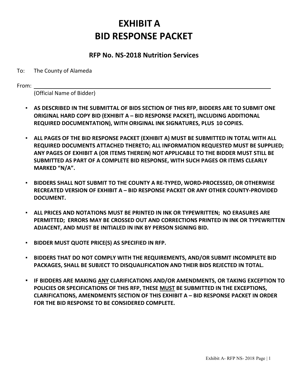### **EXHIBIT A BID RESPONSE PACKET**

### **RFP No. NS-2018 Nutrition Services**

#### To: The County of Alameda

From:

(Official Name of Bidder)

- **AS DESCRIBED IN THE SUBMITTAL OF BIDS SECTION OF THIS RFP, BIDDERS ARE TO SUBMIT ONE ORIGINAL HARD COPY BID (EXHIBIT A – BID RESPONSE PACKET), INCLUDING ADDITIONAL REQUIRED DOCUMENTATION), WITH ORIGINAL INK SIGNATURES, PLUS 10 COPIES.**
- **ALL PAGES OF THE BID RESPONSE PACKET (EXHIBIT A) MUST BE SUBMITTED IN TOTAL WITH ALL REQUIRED DOCUMENTS ATTACHED THERETO; ALL INFORMATION REQUESTED MUST BE SUPPLIED; ANY PAGES OF EXHIBIT A (OR ITEMS THEREIN) NOT APPLICABLE TO THE BIDDER MUST STILL BE SUBMITTED AS PART OF A COMPLETE BID RESPONSE, WITH SUCH PAGES OR ITEMS CLEARLY MARKED "N/A".**
- **BIDDERS SHALL NOT SUBMIT TO THE COUNTY A RE-TYPED, WORD-PROCESSED, OR OTHERWISE RECREATED VERSION OF EXHIBIT A – BID RESPONSE PACKET OR ANY OTHER COUNTY-PROVIDED DOCUMENT.**
- **ALL PRICES AND NOTATIONS MUST BE PRINTED IN INK OR TYPEWRITTEN; NO ERASURES ARE PERMITTED; ERRORS MAY BE CROSSED OUT AND CORRECTIONS PRINTED IN INK OR TYPEWRITTEN ADJACENT, AND MUST BE INITIALED IN INK BY PERSON SIGNING BID.**
- **BIDDER MUST QUOTE PRICE(S) AS SPECIFIED IN RFP.**
- BIDDERS THAT DO NOT COMPLY WITH THE REQUIREMENTS, AND/OR SUBMIT INCOMPLETE BID **PACKAGES, SHALL BE SUBJECT TO DISQUALIFICATION AND THEIR BIDS REJECTED IN TOTAL.**
- **IF BIDDERS ARE MAKING ANY CLARIFICATIONS AND/OR AMENDMENTS, OR TAKING EXCEPTION TO POLICIES OR SPECIFICATIONS OF THIS RFP, THESE MUST BE SUBMITTED IN THE EXCEPTIONS, CLARIFICATIONS, AMENDMENTS SECTION OF THIS EXHIBIT A – BID RESPONSE PACKET IN ORDER FOR THE BID RESPONSE TO BE CONSIDERED COMPLETE.**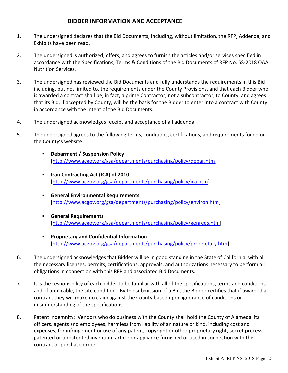### **BIDDER INFORMATION AND ACCEPTANCE**

- 1. The undersigned declares that the Bid Documents, including, without limitation, the RFP, Addenda, and Exhibits have been read.
- 2. The undersigned is authorized, offers, and agrees to furnish the articles and/or services specified in accordance with the Specifications, Terms & Conditions of the Bid Documents of RFP No. SS-2018 OAA Nutrition Services.
- 3. The undersigned has reviewed the Bid Documents and fully understands the requirements in this Bid including, but not limited to, the requirements under the County Provisions, and that each Bidder who is awarded a contract shall be, in fact, a prime Contractor, not a subcontractor, to County, and agrees that its Bid, if accepted by County, will be the basis for the Bidder to enter into a contract with County in accordance with the intent of the Bid Documents.
- 4. The undersigned acknowledges receipt and acceptance of all addenda.
- 5. The undersigned agrees to the following terms, conditions, certifications, and requirements found on the County's website:
	- **Debarment / Suspension Policy** [http://www.acgov.org/gsa/departments/purchasing/policy/debar.htm]
	- **Iran Contracting Act (ICA) of 2010** [http://www.acgov.org/gsa/departments/purchasing/policy/ica.htm]
	- **General Environmental Requirements** [http://www.acgov.org/gsa/departments/purchasing/policy/environ.htm]
	- **General Requirements** [http://www.acgov.org/gsa/departments/purchasing/policy/genreqs.htm]
	- **Proprietary and Confidential Information** [http://www.acgov.org/gsa/departments/purchasing/policy/proprietary.htm]
- 6. The undersigned acknowledges that Bidder will be in good standing in the State of California, with all the necessary licenses, permits, certifications, approvals, and authorizations necessary to perform all obligations in connection with this RFP and associated Bid Documents.
- 7. It is the responsibility of each bidder to be familiar with all of the specifications, terms and conditions and, if applicable, the site condition. By the submission of a Bid, the Bidder certifies that if awarded a contract they will make no claim against the County based upon ignorance of conditions or misunderstanding of the specifications.
- 8. Patent indemnity: Vendors who do business with the County shall hold the County of Alameda, its officers, agents and employees, harmless from liability of an nature or kind, including cost and expenses, for infringement or use of any patent, copyright or other proprietary right, secret process, patented or unpatented invention, article or appliance furnished or used in connection with the contract or purchase order.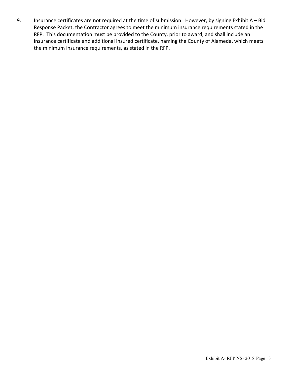9. Insurance certificates are not required at the time of submission. However, by signing Exhibit A – Bid Response Packet, the Contractor agrees to meet the minimum insurance requirements stated in the RFP. This documentation must be provided to the County, prior to award, and shall include an insurance certificate and additional insured certificate, naming the County of Alameda, which meets the minimum insurance requirements, as stated in the RFP.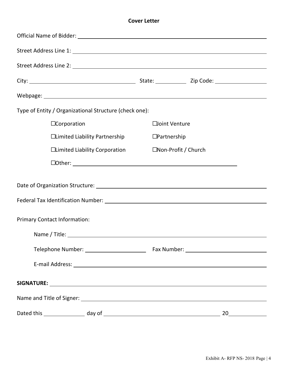#### **Cover Letter**

| Type of Entity / Organizational Structure (check one): |                      |  |
|--------------------------------------------------------|----------------------|--|
| $\Box$ Corporation                                     | □oint Venture        |  |
| □Limited Liability Partnership                         | $\Box$ Partnership   |  |
| □Limited Liability Corporation                         | □Non-Profit / Church |  |
|                                                        |                      |  |
|                                                        |                      |  |
|                                                        |                      |  |
| <b>Primary Contact Information:</b>                    |                      |  |
|                                                        |                      |  |
|                                                        |                      |  |
|                                                        |                      |  |
|                                                        |                      |  |
|                                                        |                      |  |
|                                                        |                      |  |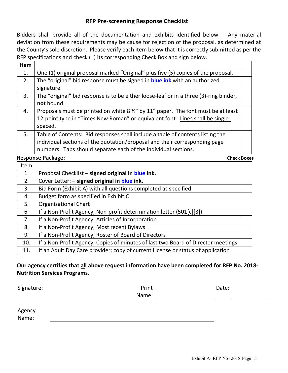### **RFP Pre-screening Response Checklist**

Bidders shall provide all of the documentation and exhibits identified below. Any material deviation from these requirements may be cause for rejection of the proposal, as determined at the County's sole discretion. Please verify each item below that it is correctly submitted as per the RFP specifications and check ( ) its corresponding Check Box and sign below.

| <b>Item</b> |                                                                                                                                                                                                                                |  |
|-------------|--------------------------------------------------------------------------------------------------------------------------------------------------------------------------------------------------------------------------------|--|
| 1.          | One (1) original proposal marked "Original" plus five (5) copies of the proposal.                                                                                                                                              |  |
| 2.          | The "original" bid response must be signed in <b>blue ink</b> with an authorized<br>signature.                                                                                                                                 |  |
| 3.          | The "original" bid response is to be either loose-leaf or in a three (3)-ring binder,<br>not bound.                                                                                                                            |  |
| 4.          | Proposals must be printed on white 8 1/2" by 11" paper. The font must be at least<br>12-point type in "Times New Roman" or equivalent font. Lines shall be single-<br>spaced.                                                  |  |
| 5.          | Table of Contents: Bid responses shall include a table of contents listing the<br>individual sections of the quotation/proposal and their corresponding page<br>numbers. Tabs should separate each of the individual sections. |  |

#### **Response Package:** Check Boxes

| Item |                                                                                  |  |
|------|----------------------------------------------------------------------------------|--|
| 1.   | Proposal Checklist - signed original in blue ink.                                |  |
| 2.   | Cover Letter: - signed original in blue ink.                                     |  |
| 3.   | Bid Form (Exhibit A) with all questions completed as specified                   |  |
| 4.   | Budget form as specified in Exhibit C                                            |  |
| 5.   | <b>Organizational Chart</b>                                                      |  |
| 6.   | If a Non-Profit Agency; Non-profit determination letter (501[c][3])              |  |
| 7.   | If a Non-Profit Agency; Articles of Incorporation                                |  |
| 8.   | If a Non-Profit Agency; Most recent Bylaws                                       |  |
| 9.   | If a Non-Profit Agency; Roster of Board of Directors                             |  |
| 10.  | If a Non-Profit Agency; Copies of minutes of last two Board of Director meetings |  |
| 11.  | If an Adult Day Care provider; copy of current License or status of application  |  |

### **Our agency certifies that all above request information have been completed for RFP No. 2018- Nutrition Services Programs.**

| Signature: | Print |
|------------|-------|
|            |       |

Name:

Date:

Agency

Name: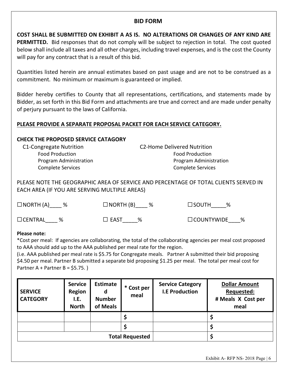### **BID FORM**

**COST SHALL BE SUBMITTED ON EXHIBIT A AS IS. NO ALTERATIONS OR CHANGES OF ANY KIND ARE PERMITTED.** Bid responses that do not comply will be subject to rejection in total. The cost quoted below shall include all taxes and all other charges, including travel expenses, and is the cost the County will pay for any contract that is a result of this bid.

Quantities listed herein are annual estimates based on past usage and are not to be construed as a commitment. No minimum or maximum is guaranteed or implied.

Bidder hereby certifies to County that all representations, certifications, and statements made by Bidder, as set forth in this Bid Form and attachments are true and correct and are made under penalty of perjury pursuant to the laws of California.

### **PLEASE PROVIDE A SEPARATE PROPOSAL PACKET FOR EACH SERVICE CATEGORY.**

### **CHECK THE PROPOSED SERVICE CATAGORY**

C1-Congregate Nutrition C2-Home Delivered Nutrition Food Production Food Production Program Administration **Program Administration** Complete Services Complete Services

PLEASE NOTE THE GEOGRAPHIC AREA OF SERVICE AND PERCENTAGE OF TOTAL CLIENTS SERVED IN EACH AREA (IF YOU ARE SERVING MULTIPLE AREAS)

| $\Box$ NORTH (A) %             | $\Box$ NORTH (B) %  | $\Box$ SOUTH<br>%   |
|--------------------------------|---------------------|---------------------|
| $\Box$ CENTRAL $^{\circ}$<br>% | $\square$ east<br>% | $\Box$ COUNTYWIDE % |

#### **Please note:**

\*Cost per meal: If agencies are collaborating, the total of the collaborating agencies per meal cost proposed to AAA should add up to the AAA published per meal rate for the region.

(i.e. AAA published per meal rate is \$5.75 for Congregate meals. Partner A submitted their bid proposing \$4.50 per meal. Partner B submitted a separate bid proposing \$1.25 per meal. The total per meal cost for Partner  $A +$  Partner  $B =$  \$5.75.)

| <b>SERVICE</b><br><b>CATEGORY</b> | <b>Service</b><br><b>Region</b><br>I.E.<br><b>North</b> | <b>Estimate</b><br>d<br><b>Number</b><br>of Meals | * Cost per<br>meal | <b>Service Category</b><br><b>I.E Production</b> | <b>Dollar Amount</b><br>Requested:<br># Meals X Cost per<br>meal |
|-----------------------------------|---------------------------------------------------------|---------------------------------------------------|--------------------|--------------------------------------------------|------------------------------------------------------------------|
|                                   |                                                         |                                                   |                    |                                                  |                                                                  |
|                                   |                                                         |                                                   |                    |                                                  |                                                                  |
| <b>Total Requested</b>            |                                                         |                                                   |                    |                                                  |                                                                  |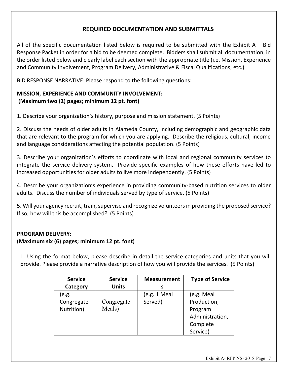### **REQUIRED DOCUMENTATION AND SUBMITTALS**

All of the specific documentation listed below is required to be submitted with the Exhibit  $A - Bid$ Response Packet in order for a bid to be deemed complete. Bidders shall submit all documentation, in the order listed below and clearly label each section with the appropriate title (i.e. Mission, Experience and Community Involvement, Program Delivery, Administrative & Fiscal Qualifications, etc.).

BID RESPONSE NARRATIVE: Please respond to the following questions:

### **MISSION, EXPERIENCE AND COMMUNITY INVOLVEMENT: (Maximum two (2) pages; minimum 12 pt. font)**

1. Describe your organization's history, purpose and mission statement. (5 Points)

2. Discuss the needs of older adults in Alameda County, including demographic and geographic data that are relevant to the program for which you are applying. Describe the religious, cultural, income and language considerations affecting the potential population. (5 Points)

3. Describe your organization's efforts to coordinate with local and regional community services to integrate the service delivery system. Provide specific examples of how these efforts have led to increased opportunities for older adults to live more independently. (5 Points)

4. Describe your organization's experience in providing community-based nutrition services to older adults. Discuss the number of individuals served by type of service. (5 Points)

5. Will your agency recruit, train, supervise and recognize volunteers in providing the proposed service? If so, how will this be accomplished? (5 Points)

### **PROGRAM DELIVERY: (Maximum six (6) pages; minimum 12 pt. font)**

1. Using the format below, please describe in detail the service categories and units that you will provide. Please provide a narrative description of how you will provide the services. (5 Points)

| <b>Service</b> | <b>Service</b> | <b>Measurement</b> | <b>Type of Service</b> |
|----------------|----------------|--------------------|------------------------|
| Category       | <b>Units</b>   | s                  |                        |
| (e.g.          |                | (e.g. 1 Meal       | (e.g. Meal             |
| Congregate     | Congregate     | Served)            | Production,            |
| Nutrition)     | Meals)         |                    | Program                |
|                |                |                    | Administration,        |
|                |                |                    | Complete               |
|                |                |                    | Service)               |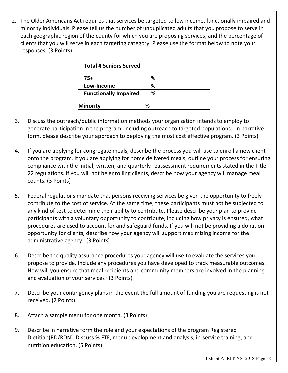2. The Older Americans Act requires that services be targeted to low income, functionally impaired and minority individuals. Please tell us the number of unduplicated adults that you propose to serve in each geographic region of the county for which you are proposing services, and the percentage of clients that you will serve in each targeting category. Please use the format below to note your responses: (3 Points)

| <b>Total # Seniors Served</b> |   |
|-------------------------------|---|
| $75+$                         | % |
| Low-Income                    | % |
| <b>Functionally Impaired</b>  | % |
| Minority                      | ℅ |

- 3. Discuss the outreach/public information methods your organization intends to employ to generate participation in the program, including outreach to targeted populations. In narrative form, please describe your approach to deploying the most cost effective program. (3 Points)
- 4. If you are applying for congregate meals, describe the process you will use to enroll a new client onto the program. If you are applying for home delivered meals, outline your process for ensuring compliance with the initial, written, and quarterly reassessment requirements stated in the Title 22 regulations. If you will not be enrolling clients, describe how your agency will manage meal counts. (3 Points)
- 5. Federal regulations mandate that persons receiving services be given the opportunity to freely contribute to the cost of service. At the same time, these participants must not be subjected to any kind of test to determine their ability to contribute. Please describe your plan to provide participants with a voluntary opportunity to contribute, including how privacy is ensured, what procedures are used to account for and safeguard funds. If you will not be providing a donation opportunity for clients, describe how your agency will support maximizing income for the administrative agency. (3 Points)
- 6. Describe the quality assurance procedures your agency will use to evaluate the services you propose to provide. Include any procedures you have developed to track measurable outcomes. How will you ensure that meal recipients and community members are involved in the planning and evaluation of your services? (3 Points)
- 7. Describe your contingency plans in the event the full amount of funding you are requesting is not received. (2 Points)
- 8. Attach a sample menu for one month. (3 Points)
- 9. Describe in narrative form the role and your expectations of the program Registered Dietitian(RD/RDN). Discuss % FTE, menu development and analysis, in-service training, and nutrition education. (5 Points)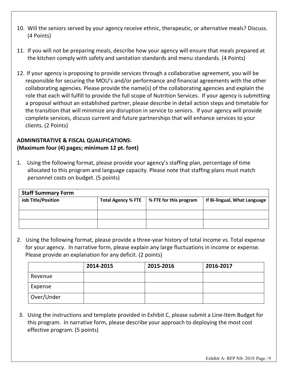- 10. Will the seniors served by your agency receive ethnic, therapeutic, or alternative meals? Discuss. (4 Points)
- 11. If you will not be preparing meals, describe how your agency will ensure that meals prepared at the kitchen comply with safety and sanitation standards and menu standards. (4 Points)
- 12. If your agency is proposing to provide services through a collaborative agreement, you will be responsible for securing the MOU's and/or performance and financial agreements with the other collaborating agencies. Please provide the name(s) of the collaborating agencies and explain the role that each will fulfill to provide the full scope of Nutrition Services. If your agency is submitting a proposal without an established partner, please describe in detail action steps and timetable for the transition that will minimize any disruption in service to seniors. If your agency will provide complete services, discuss current and future partnerships that will enhance services to your clients. (2 Points)

### **ADMINISTRATIVE & FISCAL QUALIFICATIONS: (Maximum four (4) pages; minimum 12 pt. font)**

1. Using the following format, please provide your agency's staffing plan, percentage of time allocated to this program and language capacity. Please note that staffing plans must match personnel costs on budget. (5 points)

| <b>Staff Summary Form</b> |                           |                        |                              |  |
|---------------------------|---------------------------|------------------------|------------------------------|--|
| <b>Job Title/Position</b> | <b>Total Agency % FTE</b> | % FTE for this program | If Bi-lingual, What Language |  |
|                           |                           |                        |                              |  |
|                           |                           |                        |                              |  |
|                           |                           |                        |                              |  |

2. Using the following format, please provide a three-year history of total income vs. Total expense for your agency. In narrative form, please explain any large fluctuations in income or expense. Please provide an explanation for any deficit. (2 points)

|            | 2014-2015 | 2015-2016 | 2016-2017 |
|------------|-----------|-----------|-----------|
| Revenue    |           |           |           |
| Expense    |           |           |           |
| Over/Under |           |           |           |

3. Using the instructions and template provided in Exhibit C, please submit a Line-Item Budget for this program. In narrative form, please describe your approach to deploying the most cost effective program. (5 points)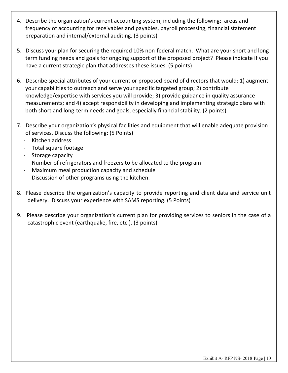- 4. Describe the organization's current accounting system, including the following: areas and frequency of accounting for receivables and payables, payroll processing, financial statement preparation and internal/external auditing. (3 points)
- 5. Discuss your plan for securing the required 10% non-federal match. What are your short and longterm funding needs and goals for ongoing support of the proposed project? Please indicate if you have a current strategic plan that addresses these issues. (5 points)
- 6. Describe special attributes of your current or proposed board of directors that would: 1) augment your capabilities to outreach and serve your specific targeted group; 2) contribute knowledge/expertise with services you will provide; 3) provide guidance in quality assurance measurements; and 4) accept responsibility in developing and implementing strategic plans with both short and long-term needs and goals, especially financial stability. (2 points)
- 7. Describe your organization's physical facilities and equipment that will enable adequate provision of services. Discuss the following: (5 Points)
	- Kitchen address
	- Total square footage
	- Storage capacity
	- Number of refrigerators and freezers to be allocated to the program
	- Maximum meal production capacity and schedule
	- Discussion of other programs using the kitchen.
- 8. Please describe the organization's capacity to provide reporting and client data and service unit delivery. Discuss your experience with SAMS reporting. (5 Points)
- 9. Please describe your organization's current plan for providing services to seniors in the case of a catastrophic event (earthquake, fire, etc.). (3 points)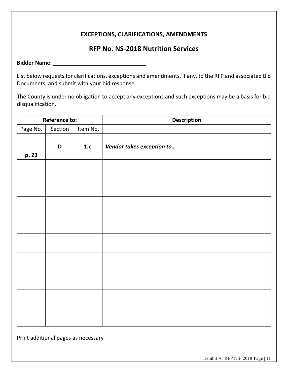### **EXCEPTIONS, CLARIFICATIONS, AMENDMENTS**

### **RFP No. NS-2018 Nutrition Services**

**Bidder Name:**

List below requests for clarifications, exceptions and amendments, if any, to the RFP and associated Bid Documents, and submit with your bid response.

The County is under no obligation to accept any exceptions and such exceptions may be a basis for bid disqualification.

| <b>Reference to:</b> |             |          | <b>Description</b>        |  |  |
|----------------------|-------------|----------|---------------------------|--|--|
| Page No.             | Section     | Item No. |                           |  |  |
| p. 23                | $\mathbf D$ | 1.c.     | Vendor takes exception to |  |  |
|                      |             |          |                           |  |  |
|                      |             |          |                           |  |  |
|                      |             |          |                           |  |  |
|                      |             |          |                           |  |  |
|                      |             |          |                           |  |  |
|                      |             |          |                           |  |  |
|                      |             |          |                           |  |  |
|                      |             |          |                           |  |  |
|                      |             |          |                           |  |  |

Print additional pages as necessary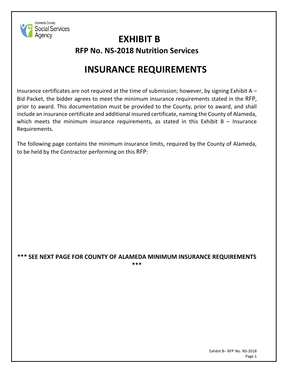

### **EXHIBIT B RFP No. NS-2018 Nutrition Services**

### **INSURANCE REQUIREMENTS**

Insurance certificates are not required at the time of submission; however, by signing Exhibit A – Bid Packet, the bidder agrees to meet the minimum insurance requirements stated in the RFP, prior to award. This documentation must be provided to the County, prior to award, and shall include an insurance certificate and additional insured certificate, naming the County of Alameda, which meets the minimum insurance requirements, as stated in this Exhibit  $B - I$ nsurance Requirements.

The following page contains the minimum insurance limits, required by the County of Alameda, to be held by the Contractor performing on this RFP:

#### **\*\*\* SEE NEXT PAGE FOR COUNTY OF ALAMEDA MINIMUM INSURANCE REQUIREMENTS \*\*\***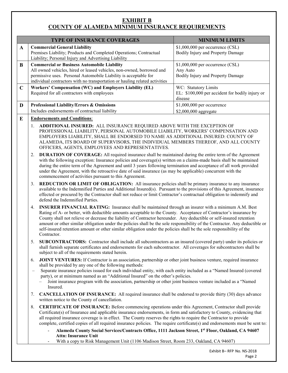### **EXHIBIT B COUNTY OF ALAMEDA MINIMUM INSURANCE REQUIREMENTS**

| <b>TYPE OF INSURANCE COVERAGES</b>                                                                                                                                                                                                                                             | <b>MINIMUM LIMITS</b>                                                              |  |
|--------------------------------------------------------------------------------------------------------------------------------------------------------------------------------------------------------------------------------------------------------------------------------|------------------------------------------------------------------------------------|--|
| <b>Commercial General Liability</b><br>Premises Liability; Products and Completed Operations; Contractual<br>Liability; Personal Injury and Advertising Liability                                                                                                              | $$1,000,000$ per occurrence (CSL)<br>Bodily Injury and Property Damage             |  |
| <b>Commercial or Business Automobile Liability</b><br>All owned vehicles, hired or leased vehicles, non-owned, borrowed and<br>permissive uses. Personal Automobile Liability is acceptable for<br>individual contractors with no transportation or hauling related activities | $$1,000,000$ per occurrence (CSL)<br>Any Auto<br>Bodily Injury and Property Damage |  |
| Workers' Compensation (WC) and Employers Liability (EL)<br>Required for all contractors with employees                                                                                                                                                                         | WC: Statutory Limits<br>EL: \$100,000 per accident for bodily injury or<br>disease |  |
| <b>Professional Liability/Errors &amp; Omissions</b><br>Includes endorsements of contractual liability                                                                                                                                                                         | \$1,000,000 per occurrence<br>$$2,000,000$ aggregate                               |  |
|                                                                                                                                                                                                                                                                                |                                                                                    |  |

#### **E Endorsements and Conditions**:

- 1. **ADDITIONAL INSURED:** ALL INSURANCE REQUIRED ABOVE WITH THE EXCEPTION OF PROFESSIONAL LIABILITY, PERSONAL AUTOMOBILE LIABILITY, WORKERS' COMPENSATION AND EMPLOYERS LIABILITY, SHALL BE ENDORSED TO NAME AS ADDITIONAL INSURED: COUNTY OF ALAMEDA, ITS BOARD OF SUPERVISORS, THE INDIVIDUAL MEMBERS THEREOF, AND ALL COUNTY OFFICERS, AGENTS, EMPLOYEES AND REPRESENTATIVES.
- 2. **DURATION OF COVERAGE:** All required insurance shall be maintained during the entire term of the Agreement with the following exception: Insurance policies and coverage(s) written on a claims-made basis shall be maintained during the entire term of the Agreement and until 3 years following termination and acceptance of all work provided under the Agreement, with the retroactive date of said insurance (as may be applicable) concurrent with the commencement of activities pursuant to this Agreement.
- 3. **REDUCTION OR LIMIT OF OBLIGATION:** All insurance policies shall be primary insurance to any insurance available to the Indemnified Parties and Additional Insured(s). Pursuant to the provisions of this Agreement, insurance effected or procured by the Contractor shall not reduce or limit Contractor's contractual obligation to indemnify and defend the Indemnified Parties.
- 4. **INSURER FINANCIAL RATING:** Insurance shall be maintained through an insurer with a minimum A.M. Best Rating of A- or better, with deductible amounts acceptable to the County. Acceptance of Contractor's insurance by County shall not relieve or decrease the liability of Contractor hereunder. Any deductible or self-insured retention amount or other similar obligation under the policies shall be the sole responsibility of the Contractor. Any deductible or self-insured retention amount or other similar obligation under the policies shall be the sole responsibility of the Contractor.
- 5. **SUBCONTRACTORS:** Contractor shall include all subcontractors as an insured (covered party) under its policies or shall furnish separate certificates and endorsements for each subcontractor. All coverages for subcontractors shall be subject to all of the requirements stated herein.
- 6. **JOINT VENTURES:** If Contractor is an association, partnership or other joint business venture, required insurance shall be provided by any one of the following methods:
- Separate insurance policies issued for each individual entity, with each entity included as a "Named Insured (covered party), or at minimum named as an "Additional Insured" on the other's policies.
	- Joint insurance program with the association, partnership or other joint business venture included as a "Named Insured.
- 7. **CANCELLATION OF INSURANCE:** All required insurance shall be endorsed to provide thirty (30) days advance written notice to the County of cancellation.
- 8. **CERTIFICATE OF INSURANCE:** Before commencing operations under this Agreement, Contractor shall provide Certificate(s) of Insurance and applicable insurance endorsements, in form and satisfactory to County, evidencing that all required insurance coverage is in effect. The County reserves the rights to require the Contractor to provide complete, certified copies of all required insurance policies. The require certificate(s) and endorsements must be sent to:
	- **Alameda County Social Services/Contracts Office, 1111 Jackson Street, 1st Floor, Oakland, CA 94607 Attn: Insurance Unit**
	- With a copy to Risk Management Unit (1106 Madison Street, Room 233, Oakland, CA 94607)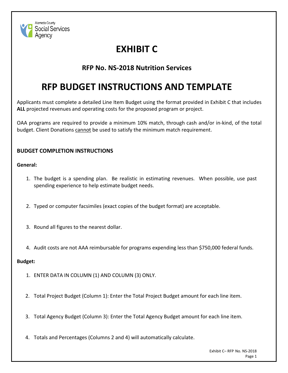

### **EXHIBIT C**

### **RFP No. NS-2018 Nutrition Services**

### **RFP BUDGET INSTRUCTIONS AND TEMPLATE**

Applicants must complete a detailed Line Item Budget using the format provided in Exhibit C that includes **ALL** projected revenues and operating costs for the proposed program or project.

OAA programs are required to provide a minimum 10% match, through cash and/or in-kind, of the total budget. Client Donations cannot be used to satisfy the minimum match requirement.

### **BUDGET COMPLETION INSTRUCTIONS**

**General:**

- 1. The budget is a spending plan. Be realistic in estimating revenues. When possible, use past spending experience to help estimate budget needs.
- 2. Typed or computer facsimiles (exact copies of the budget format) are acceptable.
- 3. Round all figures to the nearest dollar.
- 4. Audit costs are not AAA reimbursable for programs expending less than \$750,000 federal funds.

### **Budget:**

- 1. ENTER DATA IN COLUMN (1) AND COLUMN (3) ONLY.
- 2. Total Project Budget (Column 1): Enter the Total Project Budget amount for each line item.
- 3. Total Agency Budget (Column 3): Enter the Total Agency Budget amount for each line item.
- 4. Totals and Percentages (Columns 2 and 4) will automatically calculate.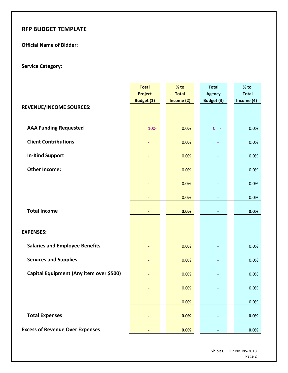### **RFP BUDGET TEMPLATE**

### **Official Name of Bidder:**

### **Service Category:**

|                                         | <b>Total</b><br><b>Project</b><br>Budget (1) | % to<br><b>Total</b><br>Income $(2)$ | <b>Total</b><br><b>Agency</b><br>Budget (3) | % to<br><b>Total</b><br>Income (4) |
|-----------------------------------------|----------------------------------------------|--------------------------------------|---------------------------------------------|------------------------------------|
| <b>REVENUE/INCOME SOURCES:</b>          |                                              |                                      |                                             |                                    |
| <b>AAA Funding Requested</b>            | $100 -$                                      | 0.0%                                 | $0 -$                                       | 0.0%                               |
| <b>Client Contributions</b>             |                                              | 0.0%                                 |                                             | 0.0%                               |
| <b>In-Kind Support</b>                  |                                              | 0.0%                                 |                                             | 0.0%                               |
| <b>Other Income:</b>                    |                                              | 0.0%                                 |                                             | 0.0%                               |
|                                         |                                              | 0.0%                                 |                                             | 0.0%                               |
|                                         |                                              | 0.0%                                 |                                             | 0.0%                               |
| <b>Total Income</b>                     |                                              | 0.0%                                 |                                             | 0.0%                               |
| <b>EXPENSES:</b>                        |                                              |                                      |                                             |                                    |
| <b>Salaries and Employee Benefits</b>   |                                              | 0.0%                                 |                                             | 0.0%                               |
| <b>Services and Supplies</b>            |                                              | 0.0%                                 |                                             | 0.0%                               |
| Capital Equipment (Any item over \$500) |                                              | 0.0%                                 |                                             | 0.0%                               |
|                                         |                                              | 0.0%                                 |                                             | 0.0%                               |
|                                         |                                              | 0.0%                                 |                                             | 0.0%                               |
| <b>Total Expenses</b>                   |                                              | 0.0%                                 |                                             | 0.0%                               |
| <b>Excess of Revenue Over Expenses</b>  |                                              | 0.0%                                 |                                             | 0.0%                               |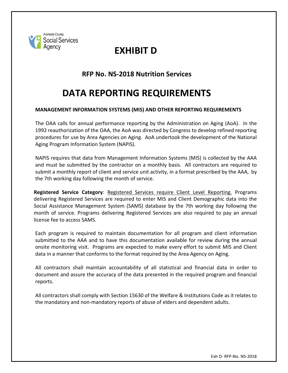

### **EXHIBIT D**

### **RFP No. NS-2018 Nutrition Services**

### **DATA REPORTING REQUIREMENTS**

#### **MANAGEMENT INFORMATION SYSTEMS (MIS) AND OTHER REPORTING REQUIREMENTS**

The OAA calls for annual performance reporting by the Administration on Aging (AoA). In the 1992 reauthorization of the OAA, the AoA was directed by Congress to develop refined reporting procedures for use by Area Agencies on Aging. AoA undertook the development of the National Aging Program Information System (NAPIS).

NAPIS requires that data from Management Information Systems (MIS) is collected by the AAA and must be submitted by the contractor on a monthly basis. All contractors are required to submit a monthly report of client and service unit activity, in a format prescribed by the AAA, by the 7th working day following the month of service.

**Registered Service Category**: Registered Services require Client Level Reporting. Programs delivering Registered Services are required to enter MIS and Client Demographic data into the Social Assistance Management System (SAMS) database by the 7th working day following the month of service. Programs delivering Registered Services are also required to pay an annual license fee to access SAMS.

Each program is required to maintain documentation for all program and client information submitted to the AAA and to have this documentation available for review during the annual onsite monitoring visit. Programs are expected to make every effort to submit MIS and Client data in a manner that conforms to the format required by the Area Agency on Aging.

All contractors shall maintain accountability of all statistical and financial data in order to document and assure the accuracy of the data presented in the required program and financial reports.

All contractors shall comply with Section 15630 of the Welfare & Institutions Code as it relates to the mandatory and non-mandatory reports of abuse of elders and dependent adults.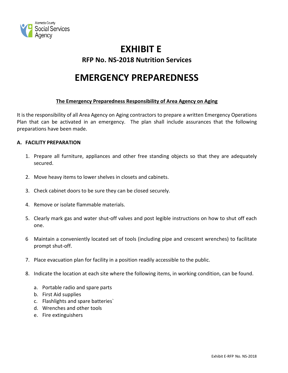

### **EXHIBIT E RFP No. NS-2018 Nutrition Services**

### **EMERGENCY PREPAREDNESS**

#### **The Emergency Preparedness Responsibility of Area Agency on Aging**

It is the responsibility of all Area Agency on Aging contractors to prepare a written Emergency Operations Plan that can be activated in an emergency. The plan shall include assurances that the following preparations have been made.

#### **A. FACILITY PREPARATION**

- 1. Prepare all furniture, appliances and other free standing objects so that they are adequately secured.
- 2. Move heavy items to lower shelves in closets and cabinets.
- 3. Check cabinet doors to be sure they can be closed securely.
- 4. Remove or isolate flammable materials.
- 5. Clearly mark gas and water shut-off valves and post legible instructions on how to shut off each one.
- 6 Maintain a conveniently located set of tools (including pipe and crescent wrenches) to facilitate prompt shut-off.
- 7. Place evacuation plan for facility in a position readily accessible to the public.
- 8. Indicate the location at each site where the following items, in working condition, can be found.
	- a. Portable radio and spare parts
	- b. First Aid supplies
	- c. Flashlights and spare batteries`
	- d. Wrenches and other tools
	- e. Fire extinguishers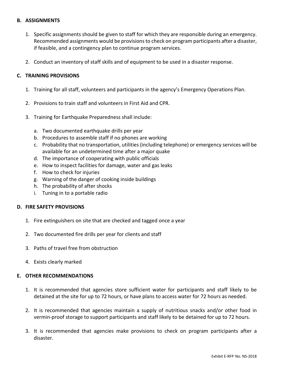#### **B. ASSIGNMENTS**

- 1. Specific assignments should be given to staff for which they are responsible during an emergency. Recommended assignments would be provisions to check on program participants after a disaster, if feasible, and a contingency plan to continue program services.
- 2. Conduct an inventory of staff skills and of equipment to be used in a disaster response.

#### **C. TRAINING PROVISIONS**

- 1. Training for all staff, volunteers and participants in the agency's Emergency Operations Plan.
- 2. Provisions to train staff and volunteers in First Aid and CPR.
- 3. Training for Earthquake Preparedness shall include:
	- a. Two documented earthquake drills per year
	- b. Procedures to assemble staff if no phones are working
	- c. Probability that no transportation, utilities (including telephone) or emergency services will be available for an undetermined time after a major quake
	- d. The importance of cooperating with public officials
	- e. How to inspect facilities for damage, water and gas leaks
	- f. How to check for injuries
	- g. Warning of the danger of cooking inside buildings
	- h. The probability of after shocks
	- i. Tuning in to a portable radio

#### **D. FIRE SAFETY PROVISIONS**

- 1. Fire extinguishers on site that are checked and tagged once a year
- 2. Two documented fire drills per year for clients and staff
- 3. Paths of travel free from obstruction
- 4. Exists clearly marked

#### **E. OTHER RECOMMENDATIONS**

- 1. It is recommended that agencies store sufficient water for participants and staff likely to be detained at the site for up to 72 hours, or have plans to access water for 72 hours as needed.
- 2. It is recommended that agencies maintain a supply of nutritious snacks and/or other food in vermin-proof storage to support participants and staff likely to be detained for up to 72 hours.
- 3. It is recommended that agencies make provisions to check on program participants after a disaster.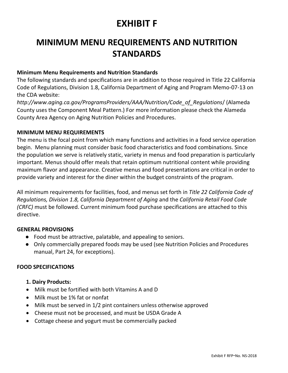### **EXHIBIT F**

### **MINIMUM MENU REQUIREMENTS AND NUTRITION STANDARDS**

### **Minimum Menu Requirements and Nutrition Standards**

The following standards and specifications are in addition to those required in Title 22 California Code of Regulations, Division 1.8, California Department of Aging and Program Memo-07-13 on the CDA website:

*http://www.aging.ca.gov/ProgramsProviders/AAA/Nutrition/Code\_of\_Regulations*/ (Alameda County uses the Component Meal Pattern.) For more information please check the Alameda County Area Agency on Aging Nutrition Policies and Procedures.

### **MINIMUM MENU REQUIREMENTS**

The menu is the focal point from which many functions and activities in a food service operation begin. Menu planning must consider basic food characteristics and food combinations. Since the population we serve is relatively static, variety in menus and food preparation is particularly important. Menus should offer meals that retain optimum nutritional content while providing maximum flavor and appearance. Creative menus and food presentations are critical in order to provide variety and interest for the diner within the budget constraints of the program.

All minimum requirements for facilities, food, and menus set forth in *Title 22 California Code of Regulations, Division 1.8, California Department of Aging* and the *California Retail Food Code (CRFC)* must be followed. Current minimum food purchase specifications are attached to this directive.

### **GENERAL PROVISIONS**

- Food must be attractive, palatable, and appealing to seniors.
- Only commercially prepared foods may be used (see Nutrition Policies and Procedures manual, Part 24, for exceptions).

### **FOOD SPECIFICATIONS**

### **1. Dairy Products:**

- Milk must be fortified with both Vitamins A and D
- Milk must be 1% fat or nonfat
- Milk must be served in 1/2 pint containers unless otherwise approved
- Cheese must not be processed, and must be USDA Grade A
- Cottage cheese and yogurt must be commercially packed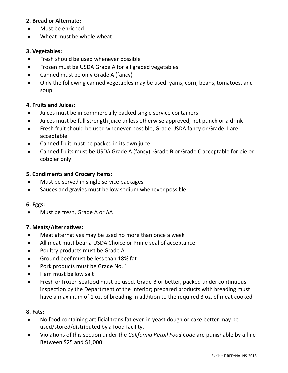### **2. Bread or Alternate:**

- Must be enriched
- Wheat must be whole wheat

### **3. Vegetables:**

- Fresh should be used whenever possible
- Frozen must be USDA Grade A for all graded vegetables
- Canned must be only Grade A (fancy)
- Only the following canned vegetables may be used: yams, corn, beans, tomatoes, and soup

### **4. Fruits and Juices:**

- Juices must be in commercially packed single service containers
- Juices must be full strength juice unless otherwise approved, not punch or a drink
- Fresh fruit should be used whenever possible; Grade USDA fancy or Grade 1 are acceptable
- Canned fruit must be packed in its own juice
- Canned fruits must be USDA Grade A (fancy), Grade B or Grade C acceptable for pie or cobbler only

#### **5. Condiments and Grocery Items:**

- Must be served in single service packages
- Sauces and gravies must be low sodium whenever possible

#### **6. Eggs:**

• Must be fresh, Grade A or AA

### **7. Meats/Alternatives:**

- Meat alternatives may be used no more than once a week
- All meat must bear a USDA Choice or Prime seal of acceptance
- Poultry products must be Grade A
- Ground beef must be less than 18% fat
- Pork products must be Grade No. 1
- Ham must be low salt
- Fresh or frozen seafood must be used, Grade B or better, packed under continuous inspection by the Department of the Interior; prepared products with breading must have a maximum of 1 oz. of breading in addition to the required 3 oz. of meat cooked

#### **8. Fats:**

- No food containing artificial trans fat even in yeast dough or cake better may be used/stored/distributed by a food facility.
- Violations of this section under the *California Retail Food Code* are punishable by a fine Between \$25 and \$1,000.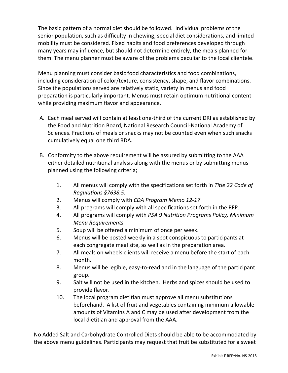The basic pattern of a normal diet should be followed. Individual problems of the senior population, such as difficulty in chewing, special diet considerations, and limited mobility must be considered. Fixed habits and food preferences developed through many years may influence, but should not determine entirely, the meals planned for them. The menu planner must be aware of the problems peculiar to the local clientele.

Menu planning must consider basic food characteristics and food combinations, including consideration of color/texture, consistency, shape, and flavor combinations. Since the populations served are relatively static, variety in menus and food preparation is particularly important. Menus must retain optimum nutritional content while providing maximum flavor and appearance.

- A. Each meal served will contain at least one-third of the current DRI as established by the Food and Nutrition Board, National Research Council-National Academy of Sciences. Fractions of meals or snacks may not be counted even when such snacks cumulatively equal one third RDA.
- B. Conformity to the above requirement will be assured by submitting to the AAA either detailed nutritional analysis along with the menus or by submitting menus planned using the following criteria;
	- 1. All menus will comply with the specifications set forth in *Title 22 Code of Regulations §7638.5.*
	- 2. Menus will comply with *CDA Program Memo 12-17*
	- 3. All programs will comply with all specifications set forth in the RFP.
	- 4. All programs will comply with *PSA 9 Nutrition Programs Policy, Minimum Menu Requirements.*
	- 5. Soup will be offered a minimum of once per week.
	- 6. Menus will be posted weekly in a spot conspicuous to participants at each congregate meal site, as well as in the preparation area.
	- 7. All meals on wheels clients will receive a menu before the start of each month.
	- 8. Menus will be legible, easy-to-read and in the language of the participant group.
	- 9. Salt will not be used in the kitchen. Herbs and spices should be used to provide flavor.
	- 10. The local program dietitian must approve all menu substitutions beforehand. A list of fruit and vegetables containing minimum allowable amounts of Vitamins A and C may be used after development from the local dietitian and approval from the AAA.

No Added Salt and Carbohydrate Controlled Diets should be able to be accommodated by the above menu guidelines. Participants may request that fruit be substituted for a sweet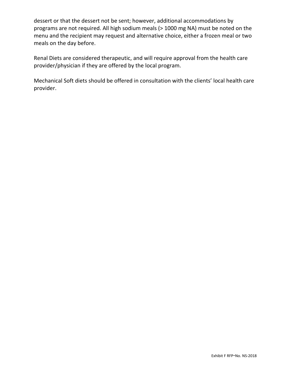dessert or that the dessert not be sent; however, additional accommodations by programs are not required. All high sodium meals (> 1000 mg NA) must be noted on the menu and the recipient may request and alternative choice, either a frozen meal or two meals on the day before.

Renal Diets are considered therapeutic, and will require approval from the health care provider/physician if they are offered by the local program.

Mechanical Soft diets should be offered in consultation with the clients' local health care provider.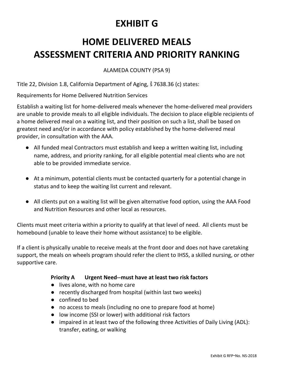### **EXHIBIT G**

### **HOME DELIVERED MEALS ASSESSMENT CRITERIA AND PRIORITY RANKING**

ALAMEDA COUNTY (PSA 9)

Title 22, Division 1.8, California Department of Aging, ṧ 7638.36 (c) states:

Requirements for Home Delivered Nutrition Services

Establish a waiting list for home-delivered meals whenever the home-delivered meal providers are unable to provide meals to all eligible individuals. The decision to place eligible recipients of a home delivered meal on a waiting list, and their position on such a list, shall be based on greatest need and/or in accordance with policy established by the home-delivered meal provider, in consultation with the AAA.

- All funded meal Contractors must establish and keep a written waiting list, including name, address, and priority ranking, for all eligible potential meal clients who are not able to be provided immediate service.
- At a minimum, potential clients must be contacted quarterly for a potential change in status and to keep the waiting list current and relevant.
- All clients put on a waiting list will be given alternative food option, using the AAA Food and Nutrition Resources and other local as resources.

Clients must meet criteria within a priority to qualify at that level of need. All clients must be homebound (unable to leave their home without assistance) to be eligible.

If a client is physically unable to receive meals at the front door and does not have caretaking support, the meals on wheels program should refer the client to IHSS, a skilled nursing, or other supportive care.

### **Priority A Urgent Need--must have at least two risk factors**

- lives alone, with no home care
- recently discharged from hospital (within last two weeks)
- confined to bed
- no access to meals (including no one to prepare food at home)
- low income (SSI or lower) with additional risk factors
- impaired in at least two of the following three Activities of Daily Living (ADL): transfer, eating, or walking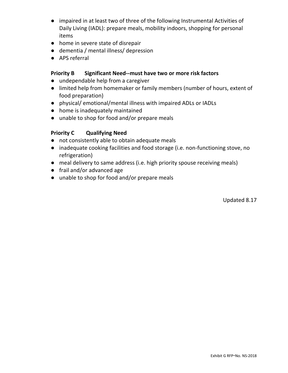- impaired in at least two of three of the following Instrumental Activities of Daily Living (IADL): prepare meals, mobility indoors, shopping for personal items
- home in severe state of disrepair
- dementia / mental illness/ depression
- APS referral

### **Priority B Significant Need--must have two or more risk factors**

- undependable help from a caregiver
- limited help from homemaker or family members (number of hours, extent of food preparation)
- physical/ emotional/mental illness with impaired ADLs or IADLs
- home is inadequately maintained
- unable to shop for food and/or prepare meals

### **Priority C Qualifying Need**

- not consistently able to obtain adequate meals
- inadequate cooking facilities and food storage (i.e. non-functioning stove, no refrigeration)
- meal delivery to same address (i.e. high priority spouse receiving meals)
- frail and/or advanced age
- unable to shop for food and/or prepare meals

Updated 8.17